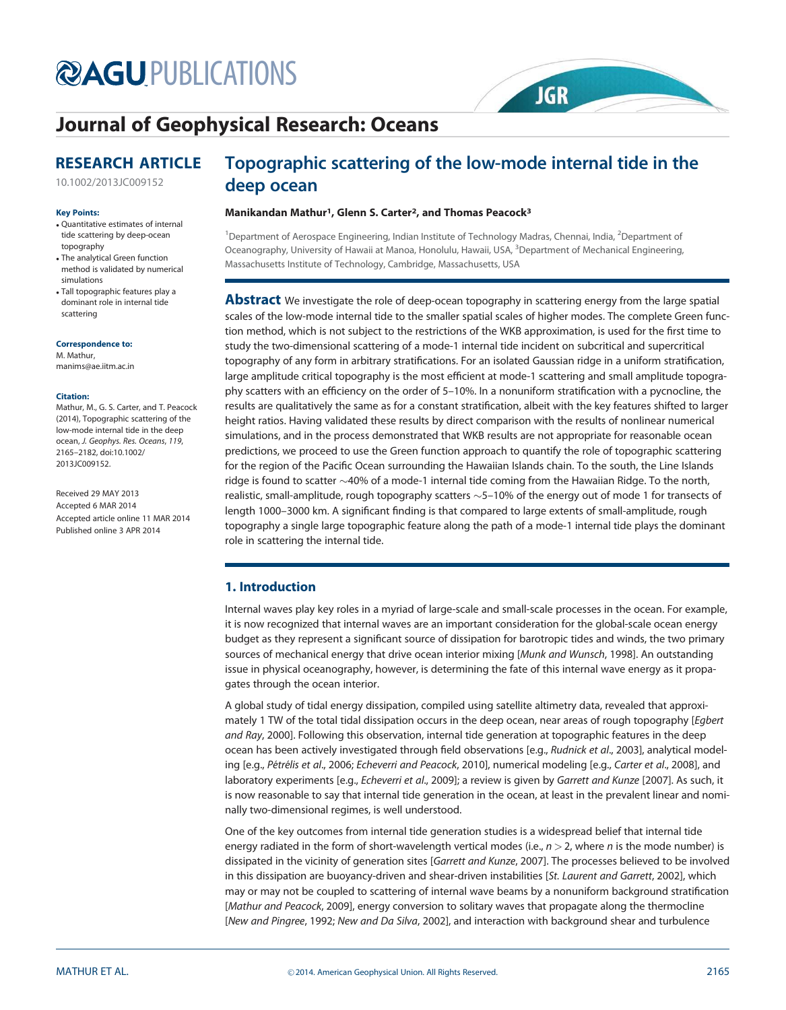# **@AGUPUBLICATIONS**

# Journal of Geophysical Research: Oceans

# RESEARCH ARTICLE

10.1002/2013JC009152

#### Key Points:

- Quantitative estimates of internal tide scattering by deep-ocean topography
- The analytical Green function method is validated by numerical simulations
- Tall topographic features play a dominant role in internal tide scattering

#### Correspondence to:

M. Mathur, manims@ae.iitm.ac.in

#### Citation:

Mathur, M., G. S. Carter, and T. Peacock (2014), Topographic scattering of the low-mode internal tide in the deep ocean, J. Geophys. Res. Oceans, 119, 2165–2182, doi:10.1002/ 2013JC009152.

Received 29 MAY 2013 Accepted 6 MAR 2014 Accepted article online 11 MAR 2014 Published online 3 APR 2014

# Topographic scattering of the low-mode internal tide in the deep ocean

**JGR** 

### Manikandan Mathur<sup>1</sup>, Glenn S. Carter<sup>2</sup>, and Thomas Peacock<sup>3</sup>

<sup>1</sup>Department of Aerospace Engineering, Indian Institute of Technology Madras, Chennai, India, <sup>2</sup>Department of Oceanography, University of Hawaii at Manoa, Honolulu, Hawaii, USA, <sup>3</sup>Department of Mechanical Engineering, Massachusetts Institute of Technology, Cambridge, Massachusetts, USA

**Abstract** We investigate the role of deep-ocean topography in scattering energy from the large spatial scales of the low-mode internal tide to the smaller spatial scales of higher modes. The complete Green function method, which is not subject to the restrictions of the WKB approximation, is used for the first time to study the two-dimensional scattering of a mode-1 internal tide incident on subcritical and supercritical topography of any form in arbitrary stratifications. For an isolated Gaussian ridge in a uniform stratification, large amplitude critical topography is the most efficient at mode-1 scattering and small amplitude topography scatters with an efficiency on the order of 5–10%. In a nonuniform stratification with a pycnocline, the results are qualitatively the same as for a constant stratification, albeit with the key features shifted to larger height ratios. Having validated these results by direct comparison with the results of nonlinear numerical simulations, and in the process demonstrated that WKB results are not appropriate for reasonable ocean predictions, we proceed to use the Green function approach to quantify the role of topographic scattering for the region of the Pacific Ocean surrounding the Hawaiian Islands chain. To the south, the Line Islands ridge is found to scatter  ${\sim}40\%$  of a mode-1 internal tide coming from the Hawaiian Ridge. To the north, realistic, small-amplitude, rough topography scatters  $\sim$  5–10% of the energy out of mode 1 for transects of length 1000–3000 km. A significant finding is that compared to large extents of small-amplitude, rough topography a single large topographic feature along the path of a mode-1 internal tide plays the dominant role in scattering the internal tide.

# 1. Introduction

Internal waves play key roles in a myriad of large-scale and small-scale processes in the ocean. For example, it is now recognized that internal waves are an important consideration for the global-scale ocean energy budget as they represent a significant source of dissipation for barotropic tides and winds, the two primary sources of mechanical energy that drive ocean interior mixing [Munk and Wunsch, 1998]. An outstanding issue in physical oceanography, however, is determining the fate of this internal wave energy as it propagates through the ocean interior.

A global study of tidal energy dissipation, compiled using satellite altimetry data, revealed that approximately 1 TW of the total tidal dissipation occurs in the deep ocean, near areas of rough topography [*Egbert* and Ray, 2000]. Following this observation, internal tide generation at topographic features in the deep ocean has been actively investigated through field observations [e.g., Rudnick et al., 2003], analytical modeling [e.g., *Pétrélis et al.,* 2006; *Echeverri and Peacock,* 2010], numerical modeling [e.g., *Carter et al.,* 2008], and laboratory experiments [e.g., Echeverri et al., 2009]; a review is given by Garrett and Kunze [2007]. As such, it is now reasonable to say that internal tide generation in the ocean, at least in the prevalent linear and nominally two-dimensional regimes, is well understood.

One of the key outcomes from internal tide generation studies is a widespread belief that internal tide energy radiated in the form of short-wavelength vertical modes (i.e.,  $n > 2$ , where n is the mode number) is dissipated in the vicinity of generation sites [Garrett and Kunze, 2007]. The processes believed to be involved in this dissipation are buoyancy-driven and shear-driven instabilities [St. Laurent and Garrett, 2002], which may or may not be coupled to scattering of internal wave beams by a nonuniform background stratification [Mathur and Peacock, 2009], energy conversion to solitary waves that propagate along the thermocline [New and Pingree, 1992; New and Da Silva, 2002], and interaction with background shear and turbulence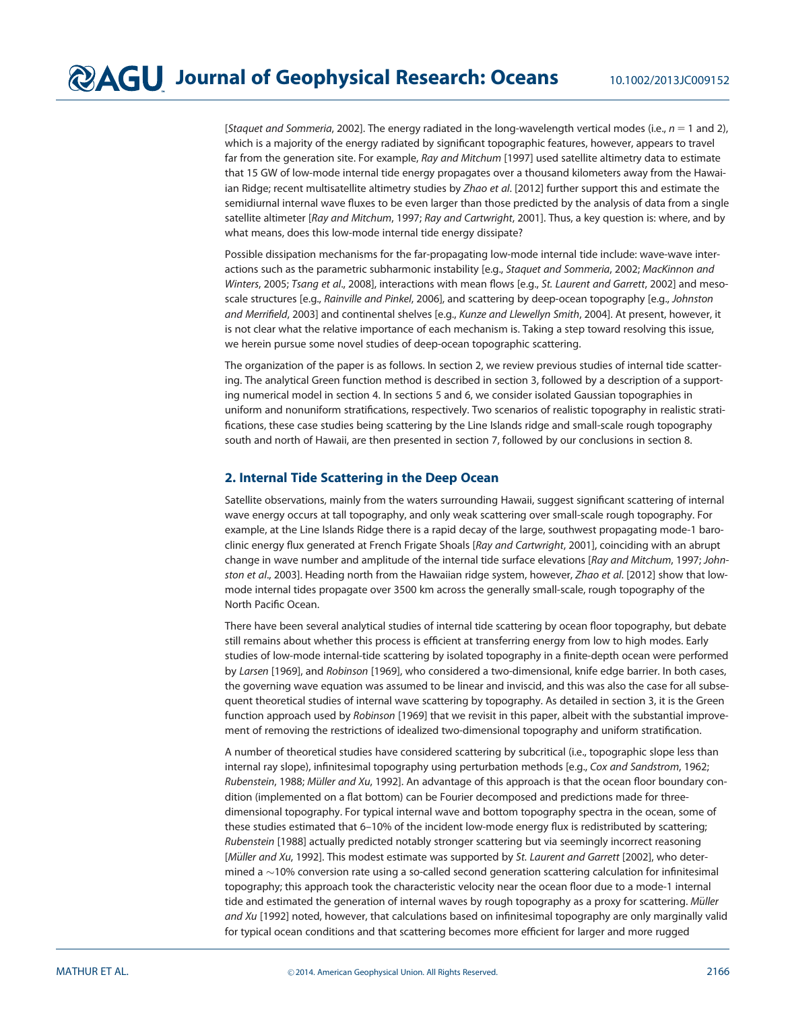[Staquet and Sommeria, 2002]. The energy radiated in the long-wavelength vertical modes (i.e.,  $n = 1$  and 2), which is a majority of the energy radiated by significant topographic features, however, appears to travel far from the generation site. For example, Ray and Mitchum [1997] used satellite altimetry data to estimate that 15 GW of low-mode internal tide energy propagates over a thousand kilometers away from the Hawaiian Ridge; recent multisatellite altimetry studies by Zhao et al. [2012] further support this and estimate the semidiurnal internal wave fluxes to be even larger than those predicted by the analysis of data from a single satellite altimeter [Ray and Mitchum, 1997; Ray and Cartwright, 2001]. Thus, a key question is: where, and by what means, does this low-mode internal tide energy dissipate?

Possible dissipation mechanisms for the far-propagating low-mode internal tide include: wave-wave interactions such as the parametric subharmonic instability [e.g., Staquet and Sommeria, 2002; MacKinnon and Winters, 2005; Tsang et al., 2008], interactions with mean flows [e.g., St. Laurent and Garrett, 2002] and mesoscale structures [e.g., Rainville and Pinkel, 2006], and scattering by deep-ocean topography [e.g., Johnston and Merrifield, 2003] and continental shelves [e.g., Kunze and Llewellyn Smith, 2004]. At present, however, it is not clear what the relative importance of each mechanism is. Taking a step toward resolving this issue, we herein pursue some novel studies of deep-ocean topographic scattering.

The organization of the paper is as follows. In section 2, we review previous studies of internal tide scattering. The analytical Green function method is described in section 3, followed by a description of a supporting numerical model in section 4. In sections 5 and 6, we consider isolated Gaussian topographies in uniform and nonuniform stratifications, respectively. Two scenarios of realistic topography in realistic stratifications, these case studies being scattering by the Line Islands ridge and small-scale rough topography south and north of Hawaii, are then presented in section 7, followed by our conclusions in section 8.

# 2. Internal Tide Scattering in the Deep Ocean

Satellite observations, mainly from the waters surrounding Hawaii, suggest significant scattering of internal wave energy occurs at tall topography, and only weak scattering over small-scale rough topography. For example, at the Line Islands Ridge there is a rapid decay of the large, southwest propagating mode-1 baroclinic energy flux generated at French Frigate Shoals [Ray and Cartwright, 2001], coinciding with an abrupt change in wave number and amplitude of the internal tide surface elevations [Ray and Mitchum, 1997; Johnston et al., 2003]. Heading north from the Hawaiian ridge system, however, Zhao et al. [2012] show that lowmode internal tides propagate over 3500 km across the generally small-scale, rough topography of the North Pacific Ocean.

There have been several analytical studies of internal tide scattering by ocean floor topography, but debate still remains about whether this process is efficient at transferring energy from low to high modes. Early studies of low-mode internal-tide scattering by isolated topography in a finite-depth ocean were performed by Larsen [1969], and Robinson [1969], who considered a two-dimensional, knife edge barrier. In both cases, the governing wave equation was assumed to be linear and inviscid, and this was also the case for all subsequent theoretical studies of internal wave scattering by topography. As detailed in section 3, it is the Green function approach used by Robinson [1969] that we revisit in this paper, albeit with the substantial improvement of removing the restrictions of idealized two-dimensional topography and uniform stratification.

A number of theoretical studies have considered scattering by subcritical (i.e., topographic slope less than internal ray slope), infinitesimal topography using perturbation methods [e.g., Cox and Sandstrom, 1962; Rubenstein, 1988; Müller and Xu, 1992]. An advantage of this approach is that the ocean floor boundary condition (implemented on a flat bottom) can be Fourier decomposed and predictions made for threedimensional topography. For typical internal wave and bottom topography spectra in the ocean, some of these studies estimated that 6–10% of the incident low-mode energy flux is redistributed by scattering; Rubenstein [1988] actually predicted notably stronger scattering but via seemingly incorrect reasoning [Müller and Xu, 1992]. This modest estimate was supported by St. Laurent and Garrett [2002], who determined a  $\sim$  10% conversion rate using a so-called second generation scattering calculation for infinitesimal topography; this approach took the characteristic velocity near the ocean floor due to a mode-1 internal tide and estimated the generation of internal waves by rough topography as a proxy for scattering. Müller and Xu [1992] noted, however, that calculations based on infinitesimal topography are only marginally valid for typical ocean conditions and that scattering becomes more efficient for larger and more rugged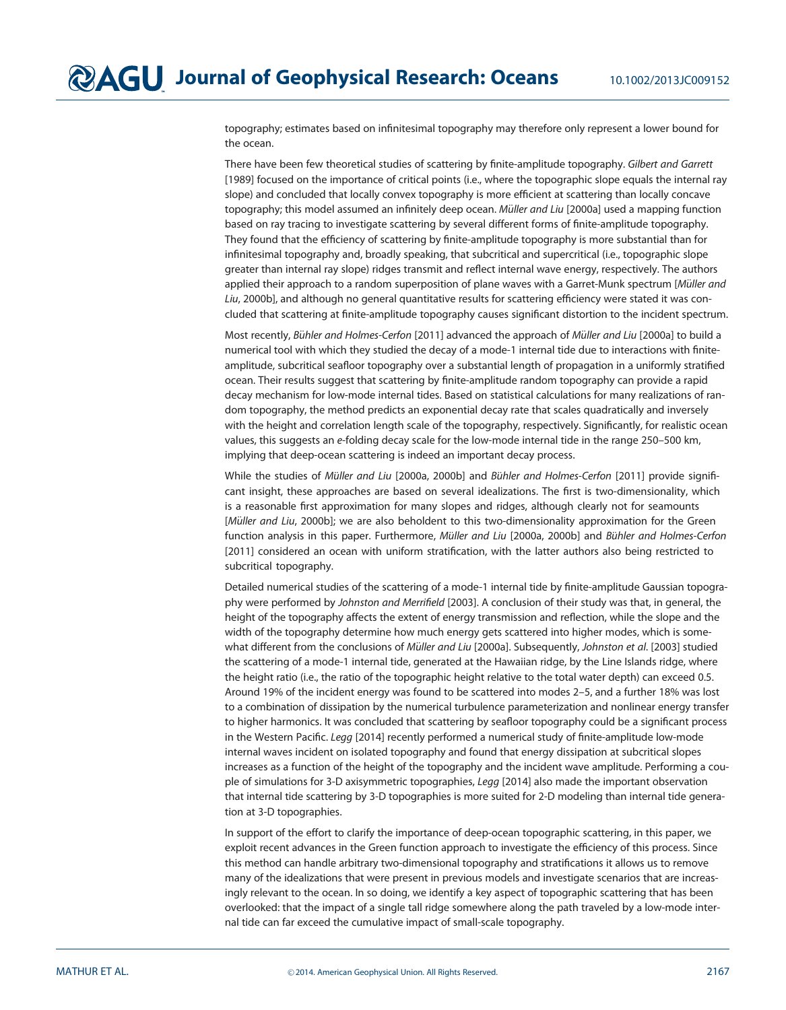topography; estimates based on infinitesimal topography may therefore only represent a lower bound for the ocean.

There have been few theoretical studies of scattering by finite-amplitude topography. Gilbert and Garrett [1989] focused on the importance of critical points (i.e., where the topographic slope equals the internal ray slope) and concluded that locally convex topography is more efficient at scattering than locally concave topography; this model assumed an infinitely deep ocean. Müller and Liu [2000a] used a mapping function based on ray tracing to investigate scattering by several different forms of finite-amplitude topography. They found that the efficiency of scattering by finite-amplitude topography is more substantial than for infinitesimal topography and, broadly speaking, that subcritical and supercritical (i.e., topographic slope greater than internal ray slope) ridges transmit and reflect internal wave energy, respectively. The authors applied their approach to a random superposition of plane waves with a Garret-Munk spectrum [Müller and Liu, 2000b], and although no general quantitative results for scattering efficiency were stated it was concluded that scattering at finite-amplitude topography causes significant distortion to the incident spectrum.

Most recently, Bühler and Holmes-Cerfon [2011] advanced the approach of Müller and Liu [2000a] to build a numerical tool with which they studied the decay of a mode-1 internal tide due to interactions with finiteamplitude, subcritical seafloor topography over a substantial length of propagation in a uniformly stratified ocean. Their results suggest that scattering by finite-amplitude random topography can provide a rapid decay mechanism for low-mode internal tides. Based on statistical calculations for many realizations of random topography, the method predicts an exponential decay rate that scales quadratically and inversely with the height and correlation length scale of the topography, respectively. Significantly, for realistic ocean values, this suggests an e-folding decay scale for the low-mode internal tide in the range 250–500 km, implying that deep-ocean scattering is indeed an important decay process.

While the studies of Müller and Liu [2000a, 2000b] and Bühler and Holmes-Cerfon [2011] provide significant insight, these approaches are based on several idealizations. The first is two-dimensionality, which is a reasonable first approximation for many slopes and ridges, although clearly not for seamounts [Müller and Liu, 2000b]; we are also beholdent to this two-dimensionality approximation for the Green function analysis in this paper. Furthermore, Müller and Liu [2000a, 2000b] and Bühler and Holmes-Cerfon [2011] considered an ocean with uniform stratification, with the latter authors also being restricted to subcritical topography.

Detailed numerical studies of the scattering of a mode-1 internal tide by finite-amplitude Gaussian topography were performed by Johnston and Merrifield [2003]. A conclusion of their study was that, in general, the height of the topography affects the extent of energy transmission and reflection, while the slope and the width of the topography determine how much energy gets scattered into higher modes, which is somewhat different from the conclusions of Müller and Liu [2000a]. Subsequently, Johnston et al. [2003] studied the scattering of a mode-1 internal tide, generated at the Hawaiian ridge, by the Line Islands ridge, where the height ratio (i.e., the ratio of the topographic height relative to the total water depth) can exceed 0.5. Around 19% of the incident energy was found to be scattered into modes 2–5, and a further 18% was lost to a combination of dissipation by the numerical turbulence parameterization and nonlinear energy transfer to higher harmonics. It was concluded that scattering by seafloor topography could be a significant process in the Western Pacific. Legg [2014] recently performed a numerical study of finite-amplitude low-mode internal waves incident on isolated topography and found that energy dissipation at subcritical slopes increases as a function of the height of the topography and the incident wave amplitude. Performing a couple of simulations for 3-D axisymmetric topographies, Legg [2014] also made the important observation that internal tide scattering by 3-D topographies is more suited for 2-D modeling than internal tide generation at 3-D topographies.

In support of the effort to clarify the importance of deep-ocean topographic scattering, in this paper, we exploit recent advances in the Green function approach to investigate the efficiency of this process. Since this method can handle arbitrary two-dimensional topography and stratifications it allows us to remove many of the idealizations that were present in previous models and investigate scenarios that are increasingly relevant to the ocean. In so doing, we identify a key aspect of topographic scattering that has been overlooked: that the impact of a single tall ridge somewhere along the path traveled by a low-mode internal tide can far exceed the cumulative impact of small-scale topography.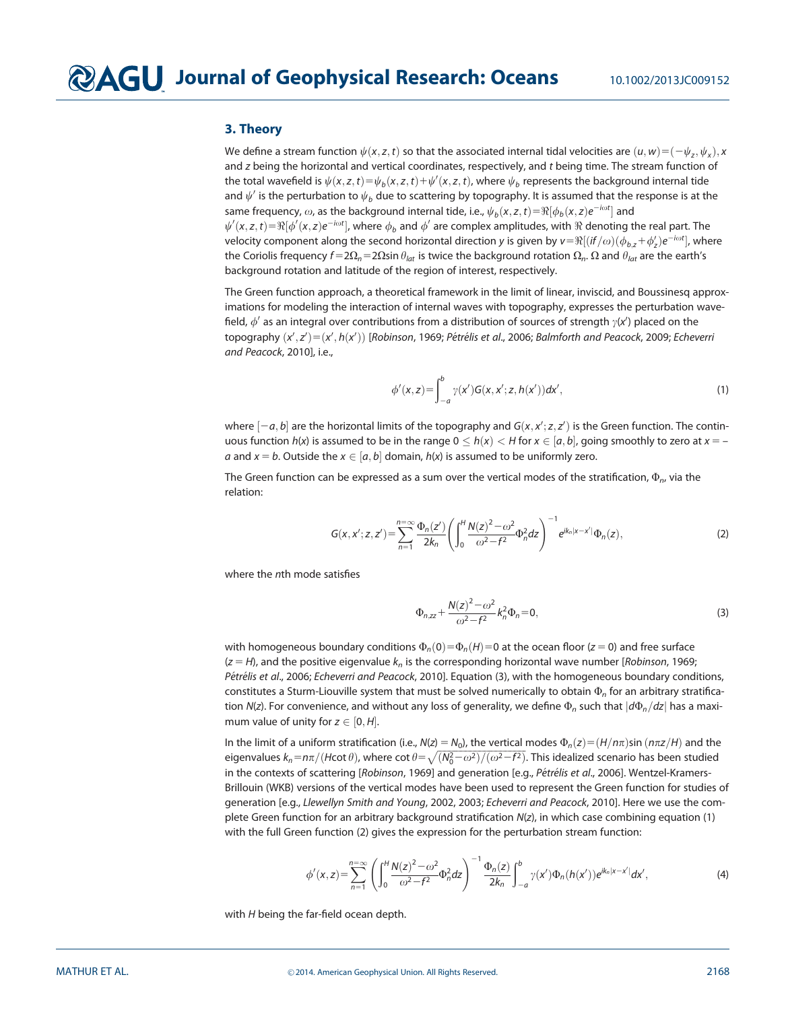### 3. Theory

We define a stream function  $\psi(x,z,t)$  so that the associated internal tidal velocities are  $(u,w){=}(-\psi_z,\psi_x),x$ and z being the horizontal and vertical coordinates, respectively, and t being time. The stream function of the total wavefield is  $\psi(x,z,t) = \psi_b(x,z,t) + \psi'(x,z,t)$ , where  $\psi_b$  represents the background internal tide and  $\psi'$  is the perturbation to  $\psi_b$  due to scattering by topography. It is assumed that the response is at the same frequency,  $\omega$ , as the background internal tide, i.e.,  $\psi_b({x},z,t){=}\Re[\phi_b({x},z)e^{-i\omega t}]$  and  $\psi'(x,z,t) {=} \Re[\phi'(x,z)e^{-i\omega t}]$ , where  $\phi_b$  and  $\phi'$  are complex amplitudes, with  $\Re$  denoting the real part. The velocity component along the second horizontal direction y is given by  $\pmb{\nu}\!=\!\Re[(if/\omega)(\phi_{b,z}\!+\!\phi_z')e^{-i\omega t}]$ , where the Coriolis frequency  $f=2\Omega_n=2\Omega$ sin  $\theta_{lat}$  is twice the background rotation  $\Omega_n.$   $\Omega$  and  $\theta_{lat}$  are the earth's background rotation and latitude of the region of interest, respectively.

The Green function approach, a theoretical framework in the limit of linear, inviscid, and Boussinesq approximations for modeling the interaction of internal waves with topography, expresses the perturbation wavefield,  $\phi'$  as an integral over contributions from a distribution of sources of strength  $\gamma$ (x') placed on the topography  $(x', z') = (x', h(x'))$  [Robinson, 1969; Pétrélis et al., 2006; Balmforth and Peacock, 2009; Echeverri and Peacock, 2010], i.e.,

$$
\phi'(x, z) = \int_{-a}^{b} \gamma(x') G(x, x'; z, h(x')) dx',
$$
\n(1)

where  $[-a, b]$  are the horizontal limits of the topography and  $G(x, x'; z, z')$  is the Green function. The continuous function  $h(x)$  is assumed to be in the range  $0 \le h(x) \le H$  for  $x \in [a, b]$ , going smoothly to zero at  $x = -1$ a and  $x = b$ . Outside the  $x \in [a, b]$  domain,  $h(x)$  is assumed to be uniformly zero.

The Green function can be expressed as a sum over the vertical modes of the stratification,  $\Phi_n$ , via the relation:

$$
G(x, x'; z, z') = \sum_{n=1}^{n=\infty} \frac{\Phi_n(z')}{2k_n} \left( \int_0^H \frac{N(z)^2 - \omega^2}{\omega^2 - f^2} \Phi_n^2 dz \right)^{-1} e^{ik_n|x - x'|} \Phi_n(z), \tag{2}
$$

where the nth mode satisfies

$$
\Phi_{n,zz} + \frac{N(z)^2 - \omega^2}{\omega^2 - f^2} k_n^2 \Phi_n = 0,
$$
\n(3)

with homogeneous boundary conditions  $\Phi_n(0) = \Phi_n(H) = 0$  at the ocean floor ( $z = 0$ ) and free surface  $(z = H)$ , and the positive eigenvalue  $k_n$  is the corresponding horizontal wave number [*Robinson*, 1969; Pétrélis et al., 2006; Echeverri and Peacock, 2010]. Equation (3), with the homogeneous boundary conditions, constitutes a Sturm-Liouville system that must be solved numerically to obtain  $\Phi_n$  for an arbitrary stratification N(z). For convenience, and without any loss of generality, we define  $\Phi_n$  such that  $|d\Phi_n/dz|$  has a maximum value of unity for  $z \in [0, H]$ .

In the limit of a uniform stratification (i.e.,  $N(z) = N_0$ ), the vertical modes  $\Phi_n(z) = (H/n\pi)\sin(n\pi z/H)$  and the eigenvalues  $k_n$ =n $\pi/(H$ cot  $\theta)$ , where cot  $\theta\!=\!\sqrt{(N_0^2\!-\!\omega^2)/(\omega^2\!-\!f^2)}$ . This idealized scenario has been studied in the contexts of scattering [Robinson, 1969] and generation [e.g., Pétrélis et al., 2006]. Wentzel-Kramers-Brillouin (WKB) versions of the vertical modes have been used to represent the Green function for studies of generation [e.g., Llewellyn Smith and Young, 2002, 2003; Echeverri and Peacock, 2010]. Here we use the complete Green function for an arbitrary background stratification N(z), in which case combining equation (1) with the full Green function (2) gives the expression for the perturbation stream function:

$$
\phi'(x,z) = \sum_{n=1}^{n=\infty} \left( \int_0^H \frac{N(z)^2 - \omega^2}{\omega^2 - f^2} \Phi_n^2 dz \right)^{-1} \frac{\Phi_n(z)}{2k_n} \int_{-a}^b \gamma(x') \Phi_n(h(x')) e^{ik_n|x-x'|} dx', \tag{4}
$$

with  $H$  being the far-field ocean depth.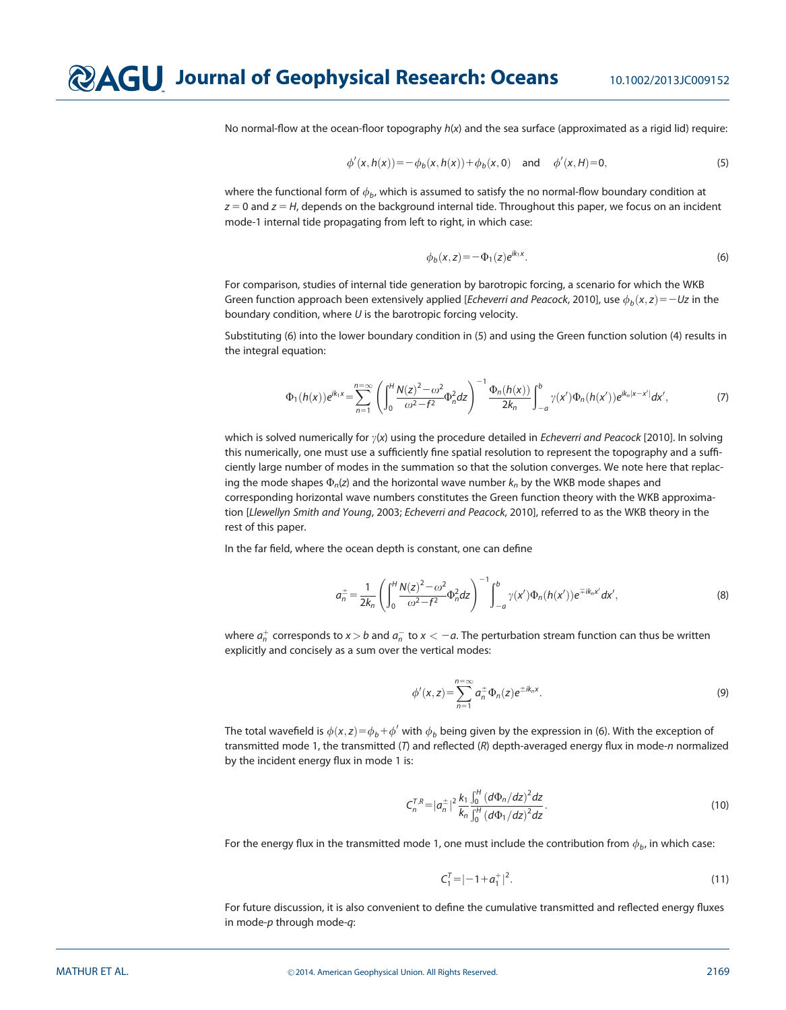No normal-flow at the ocean-floor topography  $h(x)$  and the sea surface (approximated as a rigid lid) require:

$$
\phi'(x, h(x)) = -\phi_b(x, h(x)) + \phi_b(x, 0) \quad \text{and} \quad \phi'(x, H) = 0,
$$
\n(5)

where the functional form of  $\phi_b$ , which is assumed to satisfy the no normal-flow boundary condition at  $z = 0$  and  $z = H$ , depends on the background internal tide. Throughout this paper, we focus on an incident mode-1 internal tide propagating from left to right, in which case:

$$
\phi_b(x, z) = -\Phi_1(z)e^{ik_1x}.\tag{6}
$$

For comparison, studies of internal tide generation by barotropic forcing, a scenario for which the WKB Green function approach been extensively applied [*Echeverri and Peacock*, 2010], use  $\phi_b(x, z) = -Uz$  in the boundary condition, where  $U$  is the barotropic forcing velocity.

Substituting (6) into the lower boundary condition in (5) and using the Green function solution (4) results in the integral equation:

$$
\Phi_1(h(x))e^{ik_1x} = \sum_{n=1}^{n=\infty} \left( \int_0^H \frac{N(z)^2 - \omega^2}{\omega^2 - f^2} \Phi_n^2 dz \right)^{-1} \frac{\Phi_n(h(x))}{2k_n} \int_{-a}^b \gamma(x') \Phi_n(h(x')) e^{ik_n|x-x'|} dx',
$$
 (7)

which is solved numerically for  $y(x)$  using the procedure detailed in *Echeverri and Peacock* [2010]. In solving this numerically, one must use a sufficiently fine spatial resolution to represent the topography and a sufficiently large number of modes in the summation so that the solution converges. We note here that replacing the mode shapes  $\Phi_n(z)$  and the horizontal wave number  $k_n$  by the WKB mode shapes and corresponding horizontal wave numbers constitutes the Green function theory with the WKB approximation [Llewellyn Smith and Young, 2003; Echeverri and Peacock, 2010], referred to as the WKB theory in the rest of this paper.

In the far field, where the ocean depth is constant, one can define

$$
a_n^{\pm} = \frac{1}{2k_n} \left( \int_0^H \frac{N(z)^2 - \omega^2}{\omega^2 - f^2} \Phi_n^2 dz \right)^{-1} \int_{-a}^b \gamma(x') \Phi_n(h(x')) e^{\mp ik_n x'} dx', \tag{8}
$$

where  $a_n^+$  corresponds to  $x > b$  and  $a_n^-$  to  $x < -a$ . The perturbation stream function can thus be written explicitly and concisely as a sum over the vertical modes:

$$
\phi'(x, z) = \sum_{n=1}^{n=\infty} a_n^{\pm} \Phi_n(z) e^{\pm ik_n x}.
$$
 (9)

The total wavefield is  $\phi(x,z)\!=\!\phi_b\!+\!\phi'$  with  $\phi_b$  being given by the expression in (6). With the exception of transmitted mode 1, the transmitted (T) and reflected (R) depth-averaged energy flux in mode-n normalized by the incident energy flux in mode 1 is:

$$
C_n^{T,R} = |a_n^{\pm}|^2 \frac{k_1 \int_0^H (d\Phi_n/dz)^2 dz}{k_n \int_0^H (d\Phi_1/dz)^2 dz}.
$$
 (10)

For the energy flux in the transmitted mode 1, one must include the contribution from  $\phi_b$ , in which case:

$$
C_1^T = |-1 + a_1^+|^2. \tag{11}
$$

For future discussion, it is also convenient to define the cumulative transmitted and reflected energy fluxes in mode-p through mode-q: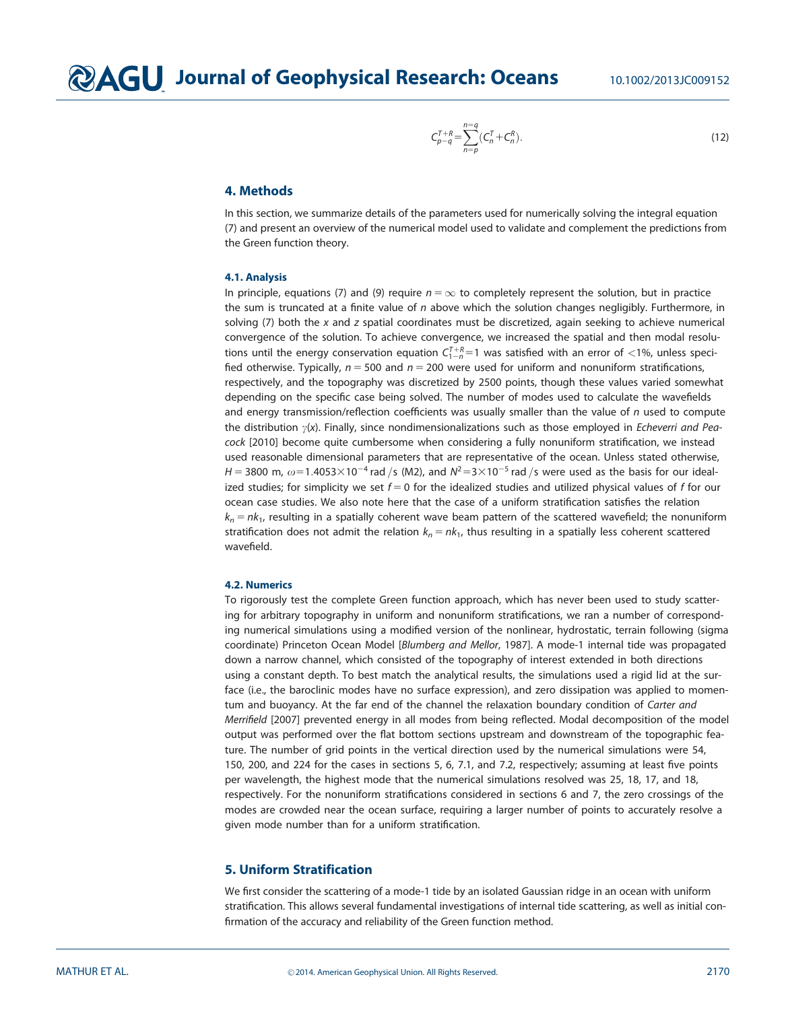$$
C_{p-q}^{T+R} = \sum_{n=p}^{n=q} (C_n^T + C_n^R). \tag{12}
$$

## 4. Methods

In this section, we summarize details of the parameters used for numerically solving the integral equation (7) and present an overview of the numerical model used to validate and complement the predictions from the Green function theory.

#### 4.1. Analysis

In principle, equations (7) and (9) require  $n = \infty$  to completely represent the solution, but in practice the sum is truncated at a finite value of  $n$  above which the solution changes negligibly. Furthermore, in solving  $(7)$  both the x and z spatial coordinates must be discretized, again seeking to achieve numerical convergence of the solution. To achieve convergence, we increased the spatial and then modal resolutions until the energy conservation equation  $C_{1-n}^{T+R}=1$  was satisfied with an error of  $<$ 1%, unless specified otherwise. Typically,  $n = 500$  and  $n = 200$  were used for uniform and nonuniform stratifications, respectively, and the topography was discretized by 2500 points, though these values varied somewhat depending on the specific case being solved. The number of modes used to calculate the wavefields and energy transmission/reflection coefficients was usually smaller than the value of  $n$  used to compute the distribution  $\gamma(x)$ . Finally, since nondimensionalizations such as those employed in *Echeverri and Pea*cock [2010] become quite cumbersome when considering a fully nonuniform stratification, we instead used reasonable dimensional parameters that are representative of the ocean. Unless stated otherwise,  $H = 3800$  m,  $\omega = 1.4053 \times 10^{-4}$  rad /s (M2), and  $N^2 = 3 \times 10^{-5}$  rad /s were used as the basis for our idealized studies; for simplicity we set  $f = 0$  for the idealized studies and utilized physical values of f for our ocean case studies. We also note here that the case of a uniform stratification satisfies the relation  $k_n = n k_1$ , resulting in a spatially coherent wave beam pattern of the scattered wavefield; the nonuniform stratification does not admit the relation  $k_n = nk_1$ , thus resulting in a spatially less coherent scattered wavefield.

#### 4.2. Numerics

To rigorously test the complete Green function approach, which has never been used to study scattering for arbitrary topography in uniform and nonuniform stratifications, we ran a number of corresponding numerical simulations using a modified version of the nonlinear, hydrostatic, terrain following (sigma coordinate) Princeton Ocean Model [Blumberg and Mellor, 1987]. A mode-1 internal tide was propagated down a narrow channel, which consisted of the topography of interest extended in both directions using a constant depth. To best match the analytical results, the simulations used a rigid lid at the surface (i.e., the baroclinic modes have no surface expression), and zero dissipation was applied to momentum and buoyancy. At the far end of the channel the relaxation boundary condition of Carter and Merrifield [2007] prevented energy in all modes from being reflected. Modal decomposition of the model output was performed over the flat bottom sections upstream and downstream of the topographic feature. The number of grid points in the vertical direction used by the numerical simulations were 54, 150, 200, and 224 for the cases in sections 5, 6, 7.1, and 7.2, respectively; assuming at least five points per wavelength, the highest mode that the numerical simulations resolved was 25, 18, 17, and 18, respectively. For the nonuniform stratifications considered in sections 6 and 7, the zero crossings of the modes are crowded near the ocean surface, requiring a larger number of points to accurately resolve a given mode number than for a uniform stratification.

# 5. Uniform Stratification

We first consider the scattering of a mode-1 tide by an isolated Gaussian ridge in an ocean with uniform stratification. This allows several fundamental investigations of internal tide scattering, as well as initial confirmation of the accuracy and reliability of the Green function method.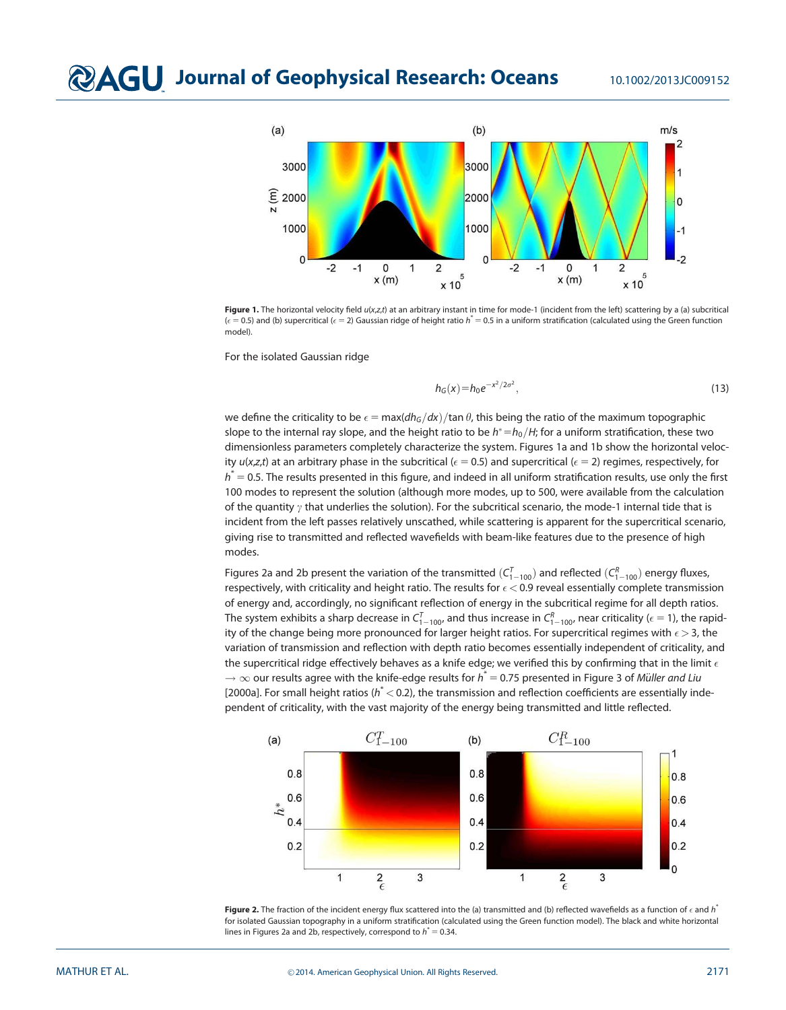

Figure 1. The horizontal velocity field  $u(x,z,t)$  at an arbitrary instant in time for mode-1 (incident from the left) scattering by a (a) subcritical  $(\epsilon = 0.5)$  and (b) supercritical ( $\epsilon = 2$ ) Gaussian ridge of height ratio  $h^* = 0.5$  in a uniform stratification (calculated using the Green function model).

For the isolated Gaussian ridge

$$
h_G(x) = h_0 e^{-x^2/2\sigma^2},
$$
\n(13)

we define the criticality to be  $\epsilon = \text{max}(dh_G/dx)/\text{tan }\theta$ , this being the ratio of the maximum topographic slope to the internal ray slope, and the height ratio to be  $h^* = h_0/H$ ; for a uniform stratification, these two dimensionless parameters completely characterize the system. Figures 1a and 1b show the horizontal velocity  $u(x, z, t)$  at an arbitrary phase in the subcritical ( $\epsilon = 0.5$ ) and supercritical ( $\epsilon = 2$ ) regimes, respectively, for  $h^* = 0.5$ . The results presented in this figure, and indeed in all uniform stratification results, use only the first 100 modes to represent the solution (although more modes, up to 500, were available from the calculation of the quantity  $\gamma$  that underlies the solution). For the subcritical scenario, the mode-1 internal tide that is incident from the left passes relatively unscathed, while scattering is apparent for the supercritical scenario, giving rise to transmitted and reflected wavefields with beam-like features due to the presence of high modes.

Figures 2a and 2b present the variation of the transmitted  $(\mathcal{C}_{1-100}^7)$  and reflected  $(\mathcal{C}_{1-100}^8)$  energy fluxes, respectively, with criticality and height ratio. The results for  $\epsilon$  < 0.9 reveal essentially complete transmission of energy and, accordingly, no significant reflection of energy in the subcritical regime for all depth ratios. The system exhibits a sharp decrease in  $\zeta^7_{1-100}$ , and thus increase in  $\zeta^R_{1-100}$ , near criticality ( $\epsilon=1$ ), the rapidity of the change being more pronounced for larger height ratios. For supercritical regimes with  $\epsilon$   $>$  3, the variation of transmission and reflection with depth ratio becomes essentially independent of criticality, and the supercritical ridge effectively behaves as a knife edge; we verified this by confirming that in the limit  $\epsilon$  $\rightarrow \infty$  our results agree with the knife-edge results for  ${\it h}^*=$  0.75 presented in Figure 3 of *Müller and Liu* [2000a]. For small height ratios ( $h^*$  < 0.2), the transmission and reflection coefficients are essentially independent of criticality, with the vast majority of the energy being transmitted and little reflected.



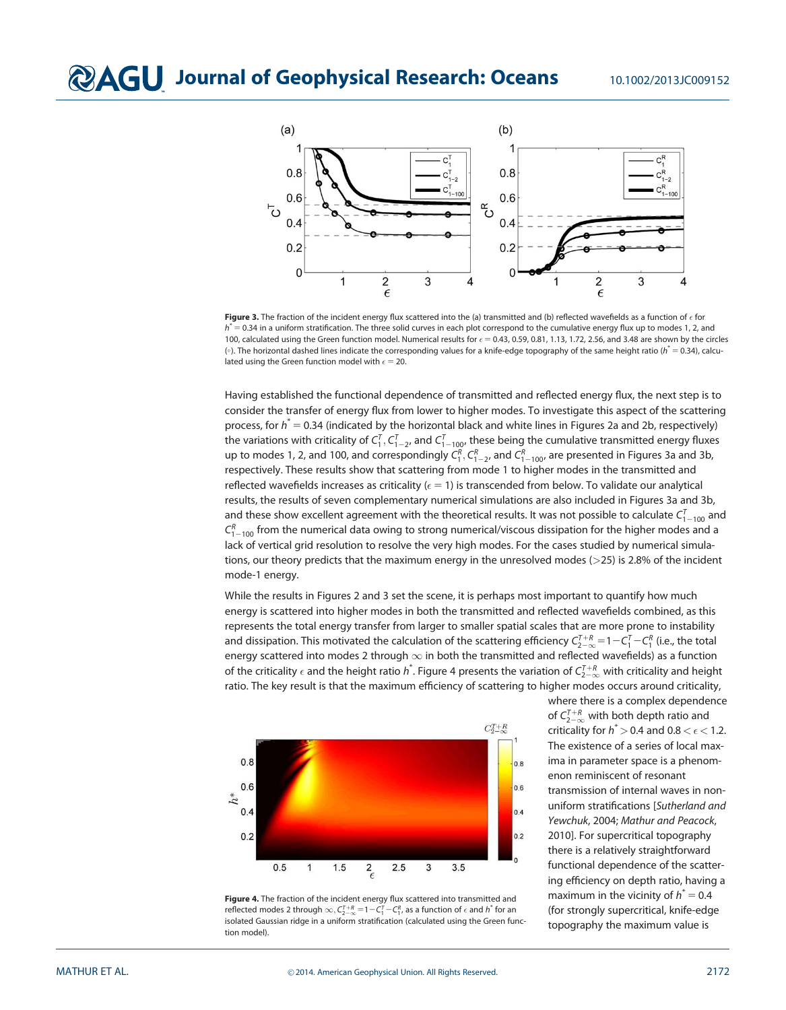

**Figure 3.** The fraction of the incident energy flux scattered into the (a) transmitted and (b) reflected wavefields as a function of  $\epsilon$  for  $h^* = 0.34$  in a uniform stratification. The three solid curves in each plot correspond to the cumulative energy flux up to modes 1, 2, and 100, calculated using the Green function model. Numerical results for  $\epsilon = 0.43$ , 0.59, 0.81, 1.13, 1.72, 2.56, and 3.48 are shown by the circles ( $\circ$ ). The horizontal dashed lines indicate the corresponding values for a knife-edge topography of the same height ratio ( $h^* = 0.34$ ), calculated using the Green function model with  $\epsilon = 20$ .

Having established the functional dependence of transmitted and reflected energy flux, the next step is to consider the transfer of energy flux from lower to higher modes. To investigate this aspect of the scattering process, for  $h^*$  = 0.34 (indicated by the horizontal black and white lines in Figures 2a and 2b, respectively) the variations with criticality of  $\zeta^7_1,\zeta^7_{1-2}$ , and  $\zeta^7_{1-100}$ , these being the cumulative transmitted energy fluxes up to modes 1, 2, and 100, and correspondingly  $C_1^R, C_{1-2}^R$ , and  $C_{1-100}^R$ , are presented in Figures 3a and 3b, respectively. These results show that scattering from mode 1 to higher modes in the transmitted and reflected wavefields increases as criticality ( $\epsilon = 1$ ) is transcended from below. To validate our analytical results, the results of seven complementary numerical simulations are also included in Figures 3a and 3b, and these show excellent agreement with the theoretical results. It was not possible to calculate  $\mathsf{C}_{1-100}^7$  and  $\mathsf{C}_{1-100}^{\mathsf{R}}$  from the numerical data owing to strong numerical/viscous dissipation for the higher modes and a lack of vertical grid resolution to resolve the very high modes. For the cases studied by numerical simulations, our theory predicts that the maximum energy in the unresolved modes (>25) is 2.8% of the incident mode-1 energy.

While the results in Figures 2 and 3 set the scene, it is perhaps most important to quantify how much energy is scattered into higher modes in both the transmitted and reflected wavefields combined, as this represents the total energy transfer from larger to smaller spatial scales that are more prone to instability and dissipation. This motivated the calculation of the scattering efficiency  $\zeta_{2-\infty}^{7+R}=$  1  $-C_1^7-C_1^R$  (i.e., the total energy scattered into modes 2 through  $\infty$  in both the transmitted and reflected wavefields) as a function of the criticality  $\epsilon$  and the height ratio  $h^*$ . Figure 4 presents the variation of  $C_{2-\infty}^{7+\kappa}$  with criticality and height ratio. The key result is that the maximum efficiency of scattering to higher modes occurs around criticality,



where there is a complex dependence of  $C_{2-\infty}^{T+R}$  with both depth ratio and criticality for  $h^*$  > 0.4 and 0.8 <  $\epsilon$  < 1.2. The existence of a series of local maxima in parameter space is a phenomenon reminiscent of resonant transmission of internal waves in nonuniform stratifications [Sutherland and Yewchuk, 2004; Mathur and Peacock, 2010]. For supercritical topography there is a relatively straightforward functional dependence of the scattering efficiency on depth ratio, having a maximum in the vicinity of  $h^* = 0.4$ (for strongly supercritical, knife-edge topography the maximum value is

Figure 4. The fraction of the incident energy flux scattered into transmitted and reflected modes 2 through  $\infty, C_{2-\infty}^{T+R}$  = 1  $-C_{1}^{T}-C_{1}^{R}$ , as a function of  $\epsilon$  and  $h^*$  for an isolated Gaussian ridge in a uniform stratification (calculated using the Green function model).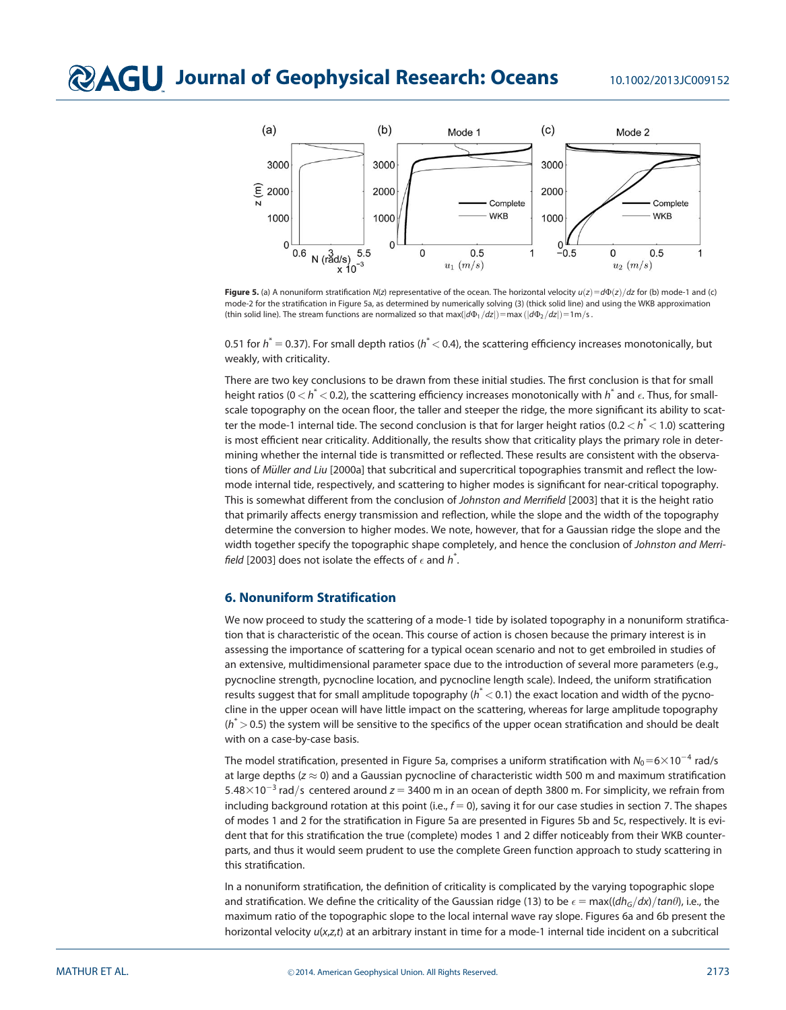

Figure 5. (a) A nonuniform stratification N(z) representative of the ocean. The horizontal velocity  $u(z) = d\Phi(z)/dz$  for (b) mode-1 and (c) mode-2 for the stratification in Figure 5a, as determined by numerically solving (3) (thick solid line) and using the WKB approximation (thin solid line). The stream functions are normalized so that max( $|d\Phi_1/dz|$ ) = max ( $|d\Phi_2/dz|$ ) = 1m/s .

0.51 for  $h^*=$  0.37). For small depth ratios ( $h^*$   $<$  0.4), the scattering efficiency increases monotonically, but weakly, with criticality.

There are two key conclusions to be drawn from these initial studies. The first conclusion is that for small height ratios (0  $<$   $h^*$   $<$  0.2), the scattering efficiency increases monotonically with  $h^*$  and  $\epsilon.$  Thus, for smallscale topography on the ocean floor, the taller and steeper the ridge, the more significant its ability to scatter the mode-1 internal tide. The second conclusion is that for larger height ratios (0.2  $<$   $\hbar^*$   $<$  1.0) scattering is most efficient near criticality. Additionally, the results show that criticality plays the primary role in determining whether the internal tide is transmitted or reflected. These results are consistent with the observations of Müller and Liu [2000a] that subcritical and supercritical topographies transmit and reflect the lowmode internal tide, respectively, and scattering to higher modes is significant for near-critical topography. This is somewhat different from the conclusion of Johnston and Merrifield [2003] that it is the height ratio that primarily affects energy transmission and reflection, while the slope and the width of the topography determine the conversion to higher modes. We note, however, that for a Gaussian ridge the slope and the width together specify the topographic shape completely, and hence the conclusion of Johnston and Merrifield [2003] does not isolate the effects of  $\epsilon$  and  $\overline{h}^*$ .

# 6. Nonuniform Stratification

We now proceed to study the scattering of a mode-1 tide by isolated topography in a nonuniform stratification that is characteristic of the ocean. This course of action is chosen because the primary interest is in assessing the importance of scattering for a typical ocean scenario and not to get embroiled in studies of an extensive, multidimensional parameter space due to the introduction of several more parameters (e.g., pycnocline strength, pycnocline location, and pycnocline length scale). Indeed, the uniform stratification results suggest that for small amplitude topography ( $h^*$   $<$  0.1) the exact location and width of the pycnocline in the upper ocean will have little impact on the scattering, whereas for large amplitude topography  $(h^* > 0.5)$  the system will be sensitive to the specifics of the upper ocean stratification and should be dealt with on a case-by-case basis.

The model stratification, presented in Figure 5a, comprises a uniform stratification with  $N_0{=}\frac{6}{10}$  rad/s at large depths ( $z \approx 0$ ) and a Gaussian pycnocline of characteristic width 500 m and maximum stratification 5.48 $\times$ 10<sup>-3</sup> rad/s centered around z = 3400 m in an ocean of depth 3800 m. For simplicity, we refrain from including background rotation at this point (i.e.,  $f = 0$ ), saving it for our case studies in section 7. The shapes of modes 1 and 2 for the stratification in Figure 5a are presented in Figures 5b and 5c, respectively. It is evident that for this stratification the true (complete) modes 1 and 2 differ noticeably from their WKB counterparts, and thus it would seem prudent to use the complete Green function approach to study scattering in this stratification.

In a nonuniform stratification, the definition of criticality is complicated by the varying topographic slope and stratification. We define the criticality of the Gaussian ridge (13) to be  $\epsilon = \max((dh_G/dx)/tan\theta)$ , i.e., the maximum ratio of the topographic slope to the local internal wave ray slope. Figures 6a and 6b present the horizontal velocity  $u(x,z,t)$  at an arbitrary instant in time for a mode-1 internal tide incident on a subcritical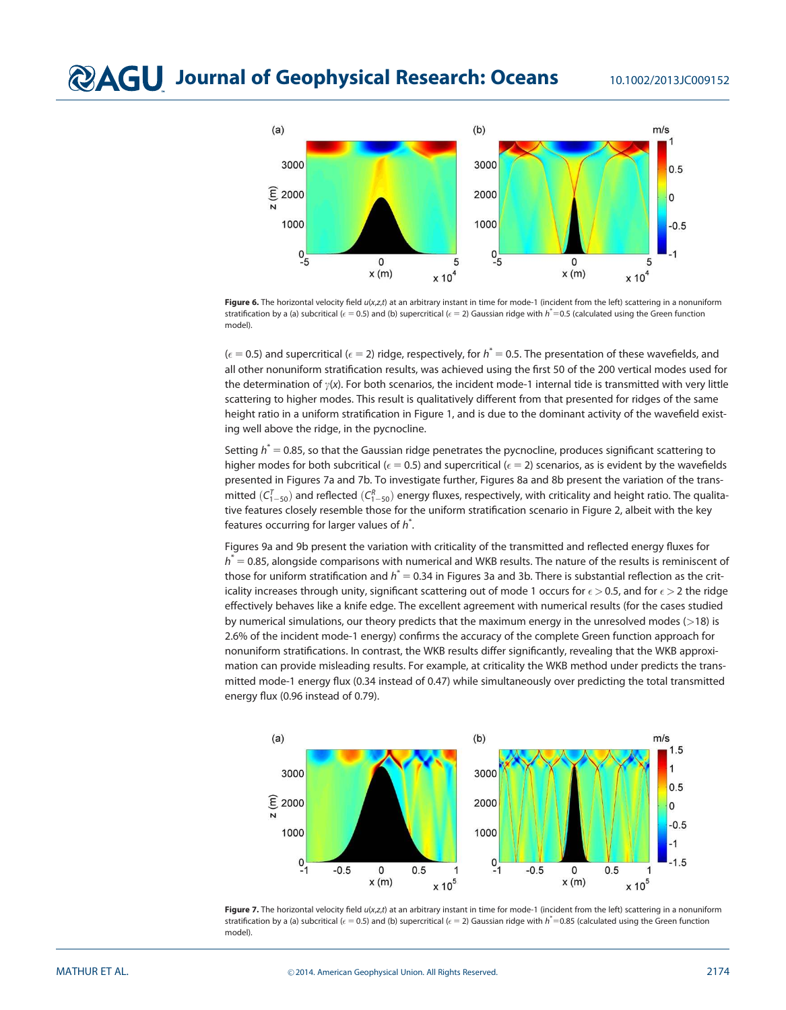

Figure 6. The horizontal velocity field u(x,z,t) at an arbitrary instant in time for mode-1 (incident from the left) scattering in a nonuniform stratification by a (a) subcritical ( $\epsilon = 0.5$ ) and (b) supercritical ( $\epsilon = 2$ ) Gaussian ridge with  $h^*=0.5$  (calculated using the Green function model).

( $\epsilon$  = 0.5) and supercritical ( $\epsilon$  = 2) ridge, respectively, for  $h^*=$  0.5. The presentation of these wavefields, and all other nonuniform stratification results, was achieved using the first 50 of the 200 vertical modes used for the determination of  $\gamma(x)$ . For both scenarios, the incident mode-1 internal tide is transmitted with very little scattering to higher modes. This result is qualitatively different from that presented for ridges of the same height ratio in a uniform stratification in Figure 1, and is due to the dominant activity of the wavefield existing well above the ridge, in the pycnocline.

Setting  $h^* = 0.85$ , so that the Gaussian ridge penetrates the pycnocline, produces significant scattering to higher modes for both subcritical ( $\epsilon$  = 0.5) and supercritical ( $\epsilon$  = 2) scenarios, as is evident by the wavefields presented in Figures 7a and 7b. To investigate further, Figures 8a and 8b present the variation of the transmitted  $(C_{1-50}^T)$  and reflected  $(C_{1-50}^R)$  energy fluxes, respectively, with criticality and height ratio. The qualitative features closely resemble those for the uniform stratification scenario in Figure 2, albeit with the key features occurring for larger values of  $h^*$ .

Figures 9a and 9b present the variation with criticality of the transmitted and reflected energy fluxes for  $h^*=$  0.85, alongside comparisons with numerical and WKB results. The nature of the results is reminiscent of those for uniform stratification and  $\hbar^*=$  0.34 in Figures 3a and 3b. There is substantial reflection as the criticality increases through unity, significant scattering out of mode 1 occurs for  $\epsilon$   $>$  0.5, and for  $\epsilon$   $>$  2 the ridge effectively behaves like a knife edge. The excellent agreement with numerical results (for the cases studied by numerical simulations, our theory predicts that the maximum energy in the unresolved modes  $(>18)$  is 2.6% of the incident mode-1 energy) confirms the accuracy of the complete Green function approach for nonuniform stratifications. In contrast, the WKB results differ significantly, revealing that the WKB approximation can provide misleading results. For example, at criticality the WKB method under predicts the transmitted mode-1 energy flux (0.34 instead of 0.47) while simultaneously over predicting the total transmitted energy flux (0.96 instead of 0.79).



Figure 7. The horizontal velocity field  $u(x,z,t)$  at an arbitrary instant in time for mode-1 (incident from the left) scattering in a nonuniform stratification by a (a) subcritical ( $\epsilon$  = 0.5) and (b) supercritical ( $\epsilon$  = 2) Gaussian ridge with  $\hbar$  = 0.85 (calculated using the Green function model)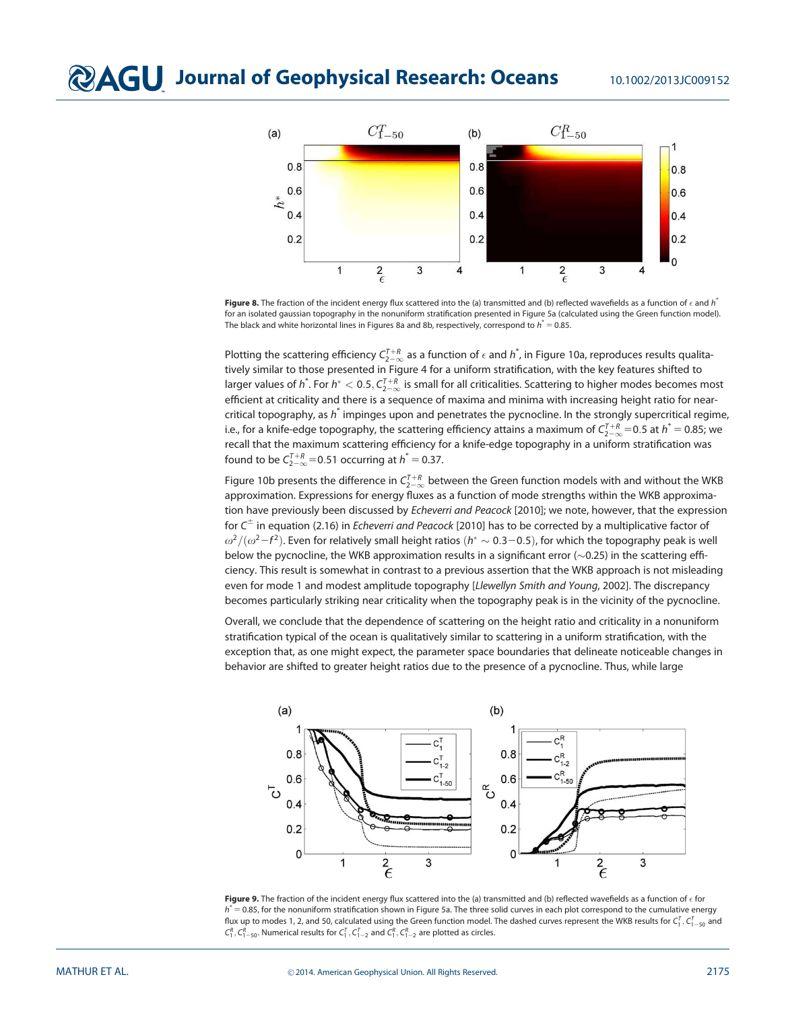# **QAGU** Journal of Geophysical Research: Oceans 10.1002/2013JC009152



Figure 8. The fraction of the incident energy flux scattered into the (a) transmitted and (b) reflected wavefields as a function of  $\epsilon$  and  $h^*$ for an isolated gaussian topography in the nonuniform stratification presented in Figure 5a (calculated using the Green function model). The black and white horizontal lines in Figures 8a and 8b, respectively, correspond to  $h^{\ast}=$  0.85.

Plotting the scattering efficiency  $C_{2-\infty}^{7+R}$  as a function of  $\epsilon$  and  $\hbar$  , in Figure 10a, reproduces results qualitatively similar to those presented in Figure 4 for a uniform stratification, with the key features shifted to larger values of  $h^*$ . For  $h^* < 0.5, C_{2-\infty}^{T+R}$  is small for all criticalities. Scattering to higher modes becomes most efficient at criticality and there is a sequence of maxima and minima with increasing height ratio for nearcritical topography, as  $h^*$  impinges upon and penetrates the pycnocline. In the strongly supercritical regime, i.e., for a knife-edge topography, the scattering efficiency attains a maximum of  $C_{2-\infty}^{I+R}$ =0.5 at  $h^*=$  0.85; we recall that the maximum scattering efficiency for a knife-edge topography in a uniform stratification was found to be  $C_{2-\infty}^{T+R}$  = 0.51 occurring at  $h^*=$  0.37.

Figure 10b presents the difference in  $\zeta_{2-\infty}^{T+R}$  between the Green function models with and without the WKB approximation. Expressions for energy fluxes as a function of mode strengths within the WKB approximation have previously been discussed by Echeverri and Peacock [2010]; we note, however, that the expression for  $C^{\pm}$  in equation (2.16) in *Echeverri and Peacock* [2010] has to be corrected by a multiplicative factor of  $\omega^2/(\omega^2 - f^2)$ . Even for relatively small height ratios  $(h^* \sim 0.3-0.5)$ , for which the topography peak is well below the pycnocline, the WKB approximation results in a significant error  $(\sim$  0.25) in the scattering efficiency. This result is somewhat in contrast to a previous assertion that the WKB approach is not misleading even for mode 1 and modest amplitude topography [Llewellyn Smith and Young, 2002]. The discrepancy becomes particularly striking near criticality when the topography peak is in the vicinity of the pycnocline.

Overall, we conclude that the dependence of scattering on the height ratio and criticality in a nonuniform stratification typical of the ocean is qualitatively similar to scattering in a uniform stratification, with the exception that, as one might expect, the parameter space boundaries that delineate noticeable changes in behavior are shifted to greater height ratios due to the presence of a pycnocline. Thus, while large



**Figure 9.** The fraction of the incident energy flux scattered into the (a) transmitted and (b) reflected wavefields as a function of  $\epsilon$  for  $h^* = 0.85$ , for the nonuniform stratification shown in Figure 5a. The three solid curves in each plot correspond to the cumulative energy flux up to modes 1, 2, and 50, calculated using the Green function model. The dashed curves represent the WKB results for  $C_1^\tau, C_{1-50}^\tau$  and  $C_1^R, C_{1-50}^R$ . Numerical results for  $C_1^T, C_{1-2}^T$  and  $C_1^R, C_{1-2}^R$  are plotted as circles.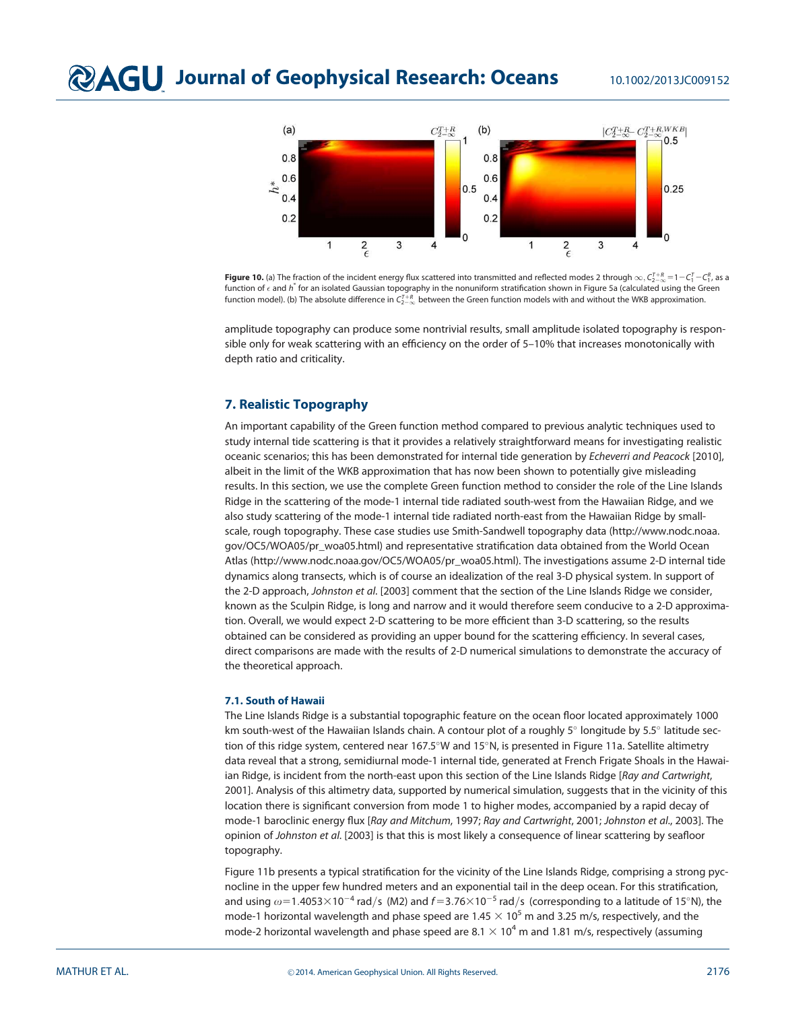

**Figure 10.** (a) The fraction of the incident energy flux scattered into transmitted and reflected modes 2 through  $\infty$ ,  $C_{2-\infty}^{7-k}$   $=$  1  $-C_{1}^{7}$   $-C_{1}^{8}$ , as a function of  $\epsilon$  and  $h^*$  for an isolated Gaussian topography in the nonuniform stratification shown in Figure 5a (calculated using the Green function model). (b) The absolute difference in  $C_{2-\infty}^{7+R}$  between the Green function models with and without the WKB approximation.

amplitude topography can produce some nontrivial results, small amplitude isolated topography is responsible only for weak scattering with an efficiency on the order of 5–10% that increases monotonically with depth ratio and criticality.

# 7. Realistic Topography

An important capability of the Green function method compared to previous analytic techniques used to study internal tide scattering is that it provides a relatively straightforward means for investigating realistic oceanic scenarios; this has been demonstrated for internal tide generation by Echeverri and Peacock [2010], albeit in the limit of the WKB approximation that has now been shown to potentially give misleading results. In this section, we use the complete Green function method to consider the role of the Line Islands Ridge in the scattering of the mode-1 internal tide radiated south-west from the Hawaiian Ridge, and we also study scattering of the mode-1 internal tide radiated north-east from the Hawaiian Ridge by smallscale, rough topography. These case studies use Smith-Sandwell topography data (http://www.nodc.noaa. gov/OC5/WOA05/pr\_woa05.html) and representative stratification data obtained from the World Ocean Atlas (http://www.nodc.noaa.gov/OC5/WOA05/pr\_woa05.html). The investigations assume 2-D internal tide dynamics along transects, which is of course an idealization of the real 3-D physical system. In support of the 2-D approach, Johnston et al. [2003] comment that the section of the Line Islands Ridge we consider, known as the Sculpin Ridge, is long and narrow and it would therefore seem conducive to a 2-D approximation. Overall, we would expect 2-D scattering to be more efficient than 3-D scattering, so the results obtained can be considered as providing an upper bound for the scattering efficiency. In several cases, direct comparisons are made with the results of 2-D numerical simulations to demonstrate the accuracy of the theoretical approach.

#### 7.1. South of Hawaii

The Line Islands Ridge is a substantial topographic feature on the ocean floor located approximately 1000 km south-west of the Hawaiian Islands chain. A contour plot of a roughly 5° longitude by 5.5° latitude section of this ridge system, centered near 167.5°W and 15°N, is presented in Figure 11a. Satellite altimetry data reveal that a strong, semidiurnal mode-1 internal tide, generated at French Frigate Shoals in the Hawaiian Ridge, is incident from the north-east upon this section of the Line Islands Ridge [Ray and Cartwright, 2001]. Analysis of this altimetry data, supported by numerical simulation, suggests that in the vicinity of this location there is significant conversion from mode 1 to higher modes, accompanied by a rapid decay of mode-1 baroclinic energy flux [Ray and Mitchum, 1997; Ray and Cartwright, 2001; Johnston et al., 2003]. The opinion of Johnston et al. [2003] is that this is most likely a consequence of linear scattering by seafloor topography.

Figure 11b presents a typical stratification for the vicinity of the Line Islands Ridge, comprising a strong pycnocline in the upper few hundred meters and an exponential tail in the deep ocean. For this stratification, and using  $\omega$ =1.4053 $\times$ 10<sup>-4</sup> rad/s (M2) and f=3.76 $\times$ 10<sup>-5</sup> rad/s (corresponding to a latitude of 15°N), the mode-1 horizontal wavelength and phase speed are 1.45  $\times$  10<sup>5</sup> m and 3.25 m/s, respectively, and the mode-2 horizontal wavelength and phase speed are 8.1  $\times$  10<sup>4</sup> m and 1.81 m/s, respectively (assuming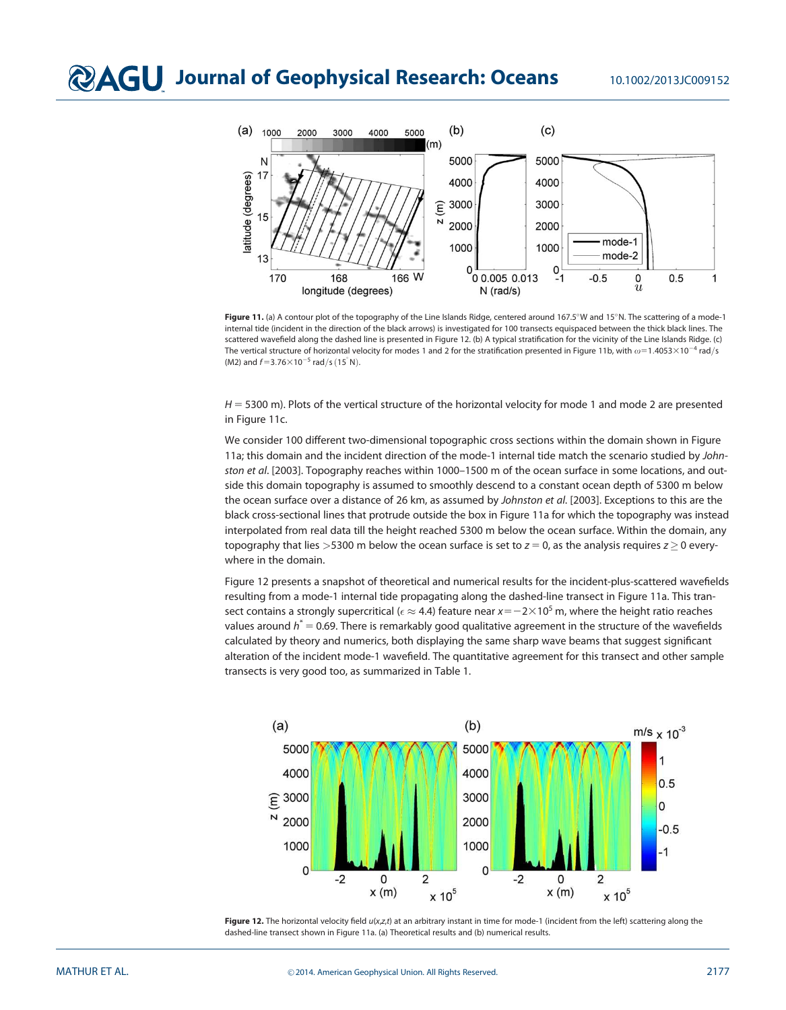

Figure 11. (a) A contour plot of the topography of the Line Islands Ridge, centered around 167.5°W and 15°N. The scattering of a mode-1 internal tide (incident in the direction of the black arrows) is investigated for 100 transects equispaced between the thick black lines. The scattered wavefield along the dashed line is presented in Figure 12. (b) A typical stratification for the vicinity of the Line Islands Ridge. (c) The vertical structure of horizontal velocity for modes 1 and 2 for the stratification presented in Figure 11b, with  $\omega$ =1.4053 $\times$ 10<sup>-4</sup> rad/s (M2) and  $f=3.76\times10^{-5}$  rad/s (15°N).

 $H = 5300$  m). Plots of the vertical structure of the horizontal velocity for mode 1 and mode 2 are presented in Figure 11c.

We consider 100 different two-dimensional topographic cross sections within the domain shown in Figure 11a; this domain and the incident direction of the mode-1 internal tide match the scenario studied by Johnston et al. [2003]. Topography reaches within 1000–1500 m of the ocean surface in some locations, and outside this domain topography is assumed to smoothly descend to a constant ocean depth of 5300 m below the ocean surface over a distance of 26 km, as assumed by Johnston et al. [2003]. Exceptions to this are the black cross-sectional lines that protrude outside the box in Figure 11a for which the topography was instead interpolated from real data till the height reached 5300 m below the ocean surface. Within the domain, any topography that lies  $>5300$  m below the ocean surface is set to  $z = 0$ , as the analysis requires  $z > 0$  everywhere in the domain.

Figure 12 presents a snapshot of theoretical and numerical results for the incident-plus-scattered wavefields resulting from a mode-1 internal tide propagating along the dashed-line transect in Figure 11a. This transect contains a strongly supercritical ( $\epsilon \approx$  4.4) feature near  $x$  =  $-$  2 $\times$  10<sup>5</sup> m, where the height ratio reaches values around  $\mathstrut h^*$   $=$  0.69. There is remarkably good qualitative agreement in the structure of the wavefields calculated by theory and numerics, both displaying the same sharp wave beams that suggest significant alteration of the incident mode-1 wavefield. The quantitative agreement for this transect and other sample transects is very good too, as summarized in Table 1.



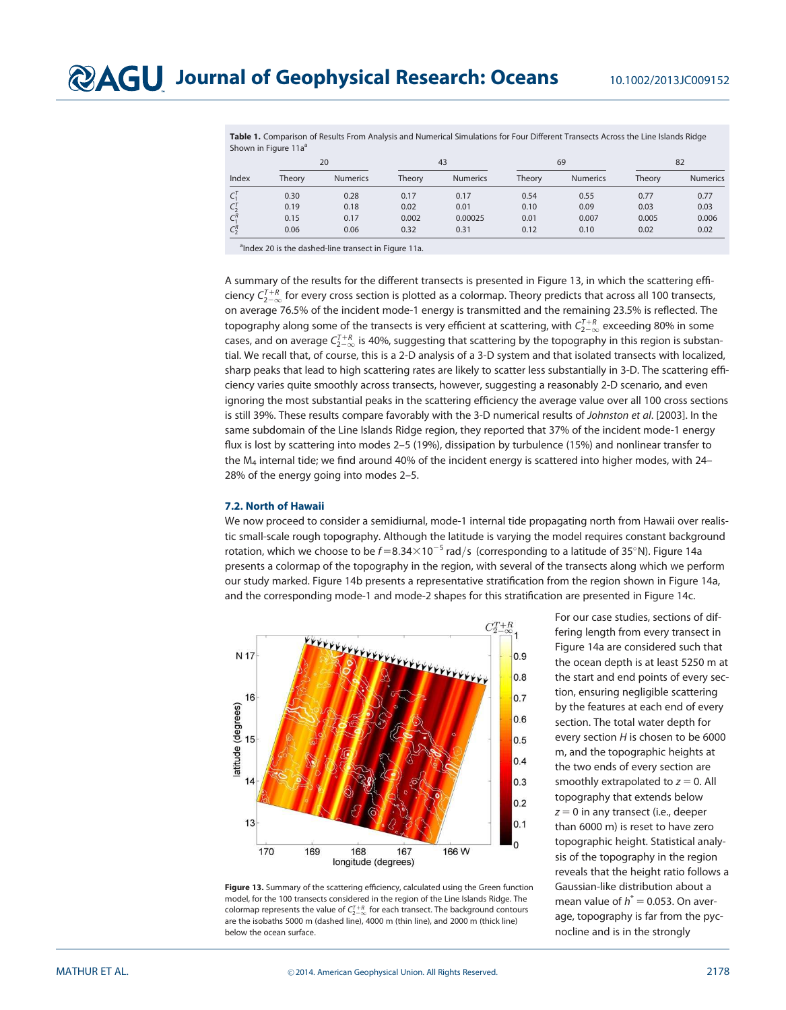Table 1. Comparison of Results From Analysis and Numerical Simulations for Four Different Transects Across the Line Islands Ridge Shown in Figure 11a<sup>a</sup>

|         | $\sim$<br>20 |                 | 43     |                 | 69     |                 | 82     |                 |
|---------|--------------|-----------------|--------|-----------------|--------|-----------------|--------|-----------------|
| Index   | Theory       | <b>Numerics</b> | Theory | <b>Numerics</b> | Theory | <b>Numerics</b> | Theory | <b>Numerics</b> |
| $C_1^T$ | 0.30         | 0.28            | 0.17   | 0.17            | 0.54   | 0.55            | 0.77   | 0.77            |
| $C_2^T$ | 0.19         | 0.18            | 0.02   | 0.01            | 0.10   | 0.09            | 0.03   | 0.03            |
| $C_1^R$ | 0.15         | 0.17            | 0.002  | 0.00025         | 0.01   | 0.007           | 0.005  | 0.006           |
| $C_2^R$ | 0.06         | 0.06            | 0.32   | 0.31            | 0.12   | 0.10            | 0.02   | 0.02            |

<sup>a</sup>Index 20 is the dashed-line transect in Figure 11a.

A summary of the results for the different transects is presented in Figure 13, in which the scattering efficiency  $C_{2-\infty}^{T+R}$  for every cross section is plotted as a colormap. Theory predicts that across all 100 transects, on average 76.5% of the incident mode-1 energy is transmitted and the remaining 23.5% is reflected. The topography along some of the transects is very efficient at scattering, with  $\zeta_{2-\infty}^{7+k}$  exceeding 80% in some cases, and on average  $\zeta_{2-\infty}^{T+R}$  is 40%, suggesting that scattering by the topography in this region is substantial. We recall that, of course, this is a 2-D analysis of a 3-D system and that isolated transects with localized, sharp peaks that lead to high scattering rates are likely to scatter less substantially in 3-D. The scattering efficiency varies quite smoothly across transects, however, suggesting a reasonably 2-D scenario, and even ignoring the most substantial peaks in the scattering efficiency the average value over all 100 cross sections is still 39%. These results compare favorably with the 3-D numerical results of Johnston et al. [2003]. In the same subdomain of the Line Islands Ridge region, they reported that 37% of the incident mode-1 energy flux is lost by scattering into modes 2–5 (19%), dissipation by turbulence (15%) and nonlinear transfer to the  $M_4$  internal tide; we find around 40% of the incident energy is scattered into higher modes, with 24– 28% of the energy going into modes 2–5.

#### 7.2. North of Hawaii

We now proceed to consider a semidiurnal, mode-1 internal tide propagating north from Hawaii over realistic small-scale rough topography. Although the latitude is varying the model requires constant background rotation, which we choose to be  $f=8.34\times10^{-5}$  rad/s (corresponding to a latitude of 35°N). Figure 14a presents a colormap of the topography in the region, with several of the transects along which we perform our study marked. Figure 14b presents a representative stratification from the region shown in Figure 14a, and the corresponding mode-1 and mode-2 shapes for this stratification are presented in Figure 14c.



Figure 13. Summary of the scattering efficiency, calculated using the Green function model, for the 100 transects considered in the region of the Line Islands Ridge. The colormap represents the value of  $C_{2-\infty}^{T+R}$  for each transect. The background contours are the isobaths 5000 m (dashed line), 4000 m (thin line), and 2000 m (thick line) below the ocean surface.

For our case studies, sections of differing length from every transect in Figure 14a are considered such that the ocean depth is at least 5250 m at the start and end points of every section, ensuring negligible scattering by the features at each end of every section. The total water depth for every section H is chosen to be 6000 m, and the topographic heights at the two ends of every section are smoothly extrapolated to  $z = 0$ . All topography that extends below  $z = 0$  in any transect (i.e., deeper than 6000 m) is reset to have zero topographic height. Statistical analysis of the topography in the region reveals that the height ratio follows a Gaussian-like distribution about a mean value of  $h^* = 0.053$ . On average, topography is far from the pycnocline and is in the strongly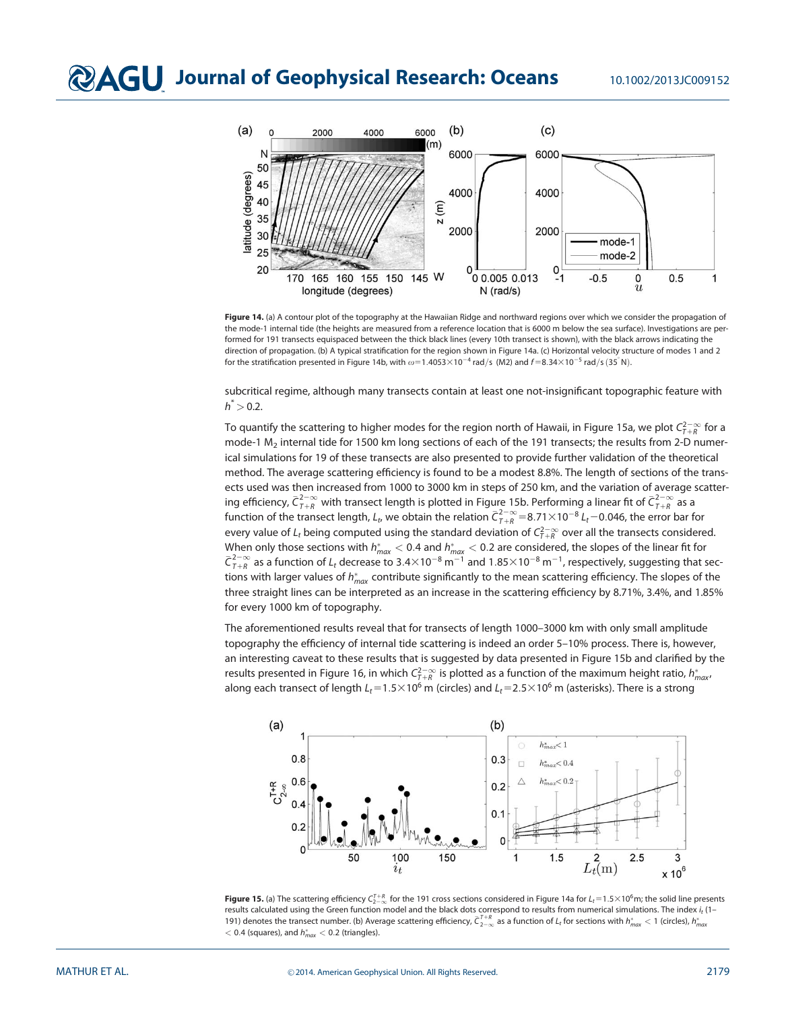

Figure 14. (a) A contour plot of the topography at the Hawaiian Ridge and northward regions over which we consider the propagation of the mode-1 internal tide (the heights are measured from a reference location that is 6000 m below the sea surface). Investigations are performed for 191 transects equispaced between the thick black lines (every 10th transect is shown), with the black arrows indicating the direction of propagation. (b) A typical stratification for the region shown in Figure 14a. (c) Horizontal velocity structure of modes 1 and 2 for the stratification presented in Figure 14b, with  $\omega=1.4053\times10^{-4}$  rad/s (M2) and  $f=8.34\times10^{-5}$  rad/s (35°N).

subcritical regime, although many transects contain at least one not-insignificant topographic feature with  $h^* > 0.2$ .

To quantify the scattering to higher modes for the region north of Hawaii, in Figure 15a, we plot  $\zeta_{7+R}^{2-\infty}$  for a mode-1 M<sub>2</sub> internal tide for 1500 km long sections of each of the 191 transects; the results from 2-D numerical simulations for 19 of these transects are also presented to provide further validation of the theoretical method. The average scattering efficiency is found to be a modest 8.8%. The length of sections of the transects used was then increased from 1000 to 3000 km in steps of 250 km, and the variation of average scattering efficiency,  $\bar{C}^{2-\infty}_{I+R}$  with transect length is plotted in Figure 15b. Performing a linear fit of  $\bar{C}^{2-\infty}_{I+R}$  as a function of the transect length,  $L_t$ , we obtain the relation  $\bar{C}_{T+R}^{2-\infty} = 8.71 \times 10^{-8} L_t - 0.046$ , the error bar for every value of  $L_t$  being computed using the standard deviation of  $C_{\tau+R}^{2-\infty}$  over all the transects considered. When only those sections with  $h^*_{max} < 0.4$  and  $h^*_{max} < 0.2$  are considered, the slopes of the linear fit for  $\bar{C}_{T+R}^{2-\infty}$  as a function of  $L_t$  decrease to 3.4×10<sup>-8</sup> m<sup>-1</sup> and 1.85×10<sup>-8</sup> m<sup>-1</sup>, respectively, suggesting that sections with larger values of  $h_{\textit{max}}^*$  contribute significantly to the mean scattering efficiency. The slopes of the three straight lines can be interpreted as an increase in the scattering efficiency by 8.71%, 3.4%, and 1.85% for every 1000 km of topography.

The aforementioned results reveal that for transects of length 1000–3000 km with only small amplitude topography the efficiency of internal tide scattering is indeed an order 5–10% process. There is, however, an interesting caveat to these results that is suggested by data presented in Figure 15b and clarified by the results presented in Figure 16, in which  $\mathcal{C}^{2-\infty}_{I+R}$  is plotted as a function of the maximum height ratio,  $h^*_{max}$ along each transect of length  $L_t=1.5\times10^6$  m (circles) and  $L_t=2.5\times10^6$  m (asterisks). There is a strong



**Figure 15.** (a) The scattering efficiency  $C_{2-\infty}^{1+R}$  for the 191 cross sections considered in Figure 14a for  $L_t$  = 1.5×10<sup>6</sup>m; the solid line presents results calculated using the Green function model and the black dots correspond to results from numerical simulations. The index  $i_t$  (1– 191) denotes the transect number. (b) Average scattering efficiency,  $\bar{C}_{2-\infty}^{T+R}$  as a function of  $L_t$  for sections with  $h^*_{max} < 1$  (circles),  $h^*_{max}$  $<$  0.4 (squares), and  $h_{max}^* <$  0.2 (triangles).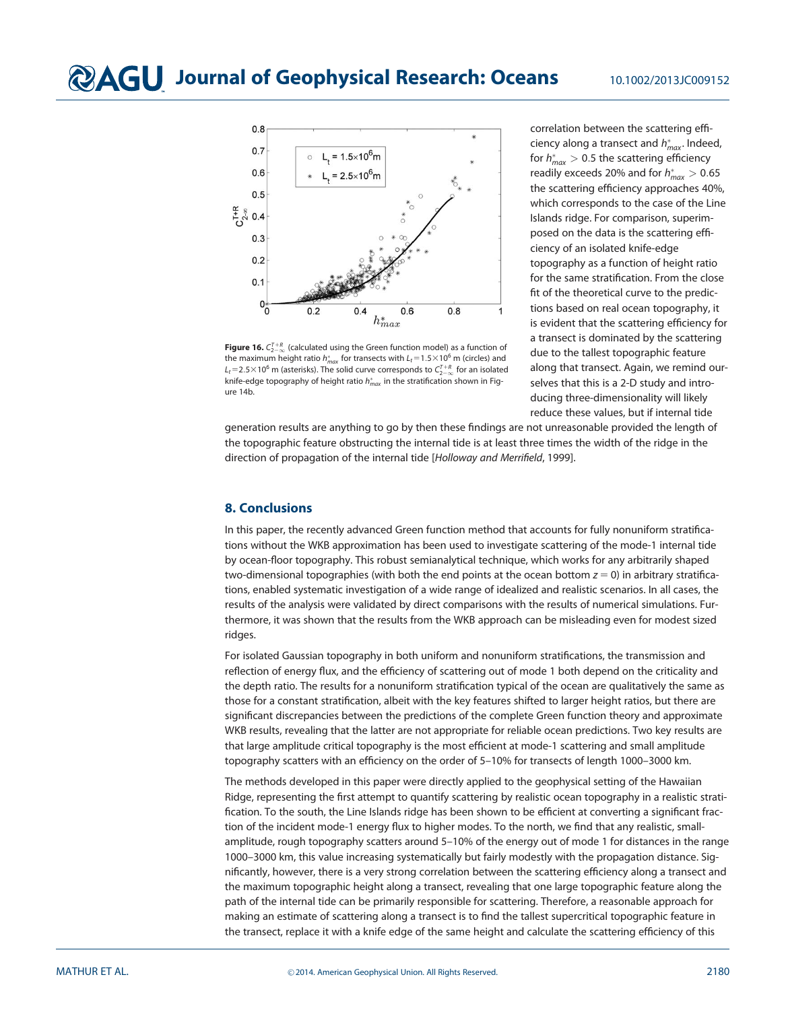

**Figure 16.**  $C_{2-\infty}^{T+R}$  (calculated using the Green function model) as a function of the maximum height ratio  $h^*_{\textit{max}}$  for transects with  $L_t\!=\!1.5\!\times\!10^6\,\text{m}$  (circles) and  $L_t$ =2.5×10<sup>6</sup> m (asterisks). The solid curve corresponds to  $C_{2-\infty}^{T+R}$  for an isolated knife-edge topography of height ratio  $h_{\mathit{max}}^*$  in the stratification shown in Figure 14b.

correlation between the scattering efficiency along a transect and  $h^*_{max}$ . Indeed, for  $h^*_{max} > 0.5$  the scattering efficiency readily exceeds 20% and for  $h^*_{max} > 0.65$ the scattering efficiency approaches 40%, which corresponds to the case of the Line Islands ridge. For comparison, superimposed on the data is the scattering efficiency of an isolated knife-edge topography as a function of height ratio for the same stratification. From the close fit of the theoretical curve to the predictions based on real ocean topography, it is evident that the scattering efficiency for a transect is dominated by the scattering due to the tallest topographic feature along that transect. Again, we remind ourselves that this is a 2-D study and introducing three-dimensionality will likely reduce these values, but if internal tide

generation results are anything to go by then these findings are not unreasonable provided the length of the topographic feature obstructing the internal tide is at least three times the width of the ridge in the direction of propagation of the internal tide [Holloway and Merrifield, 1999].

## 8. Conclusions

In this paper, the recently advanced Green function method that accounts for fully nonuniform stratifications without the WKB approximation has been used to investigate scattering of the mode-1 internal tide by ocean-floor topography. This robust semianalytical technique, which works for any arbitrarily shaped two-dimensional topographies (with both the end points at the ocean bottom  $z = 0$ ) in arbitrary stratifications, enabled systematic investigation of a wide range of idealized and realistic scenarios. In all cases, the results of the analysis were validated by direct comparisons with the results of numerical simulations. Furthermore, it was shown that the results from the WKB approach can be misleading even for modest sized ridges.

For isolated Gaussian topography in both uniform and nonuniform stratifications, the transmission and reflection of energy flux, and the efficiency of scattering out of mode 1 both depend on the criticality and the depth ratio. The results for a nonuniform stratification typical of the ocean are qualitatively the same as those for a constant stratification, albeit with the key features shifted to larger height ratios, but there are significant discrepancies between the predictions of the complete Green function theory and approximate WKB results, revealing that the latter are not appropriate for reliable ocean predictions. Two key results are that large amplitude critical topography is the most efficient at mode-1 scattering and small amplitude topography scatters with an efficiency on the order of 5–10% for transects of length 1000–3000 km.

The methods developed in this paper were directly applied to the geophysical setting of the Hawaiian Ridge, representing the first attempt to quantify scattering by realistic ocean topography in a realistic stratification. To the south, the Line Islands ridge has been shown to be efficient at converting a significant fraction of the incident mode-1 energy flux to higher modes. To the north, we find that any realistic, smallamplitude, rough topography scatters around 5–10% of the energy out of mode 1 for distances in the range 1000–3000 km, this value increasing systematically but fairly modestly with the propagation distance. Significantly, however, there is a very strong correlation between the scattering efficiency along a transect and the maximum topographic height along a transect, revealing that one large topographic feature along the path of the internal tide can be primarily responsible for scattering. Therefore, a reasonable approach for making an estimate of scattering along a transect is to find the tallest supercritical topographic feature in the transect, replace it with a knife edge of the same height and calculate the scattering efficiency of this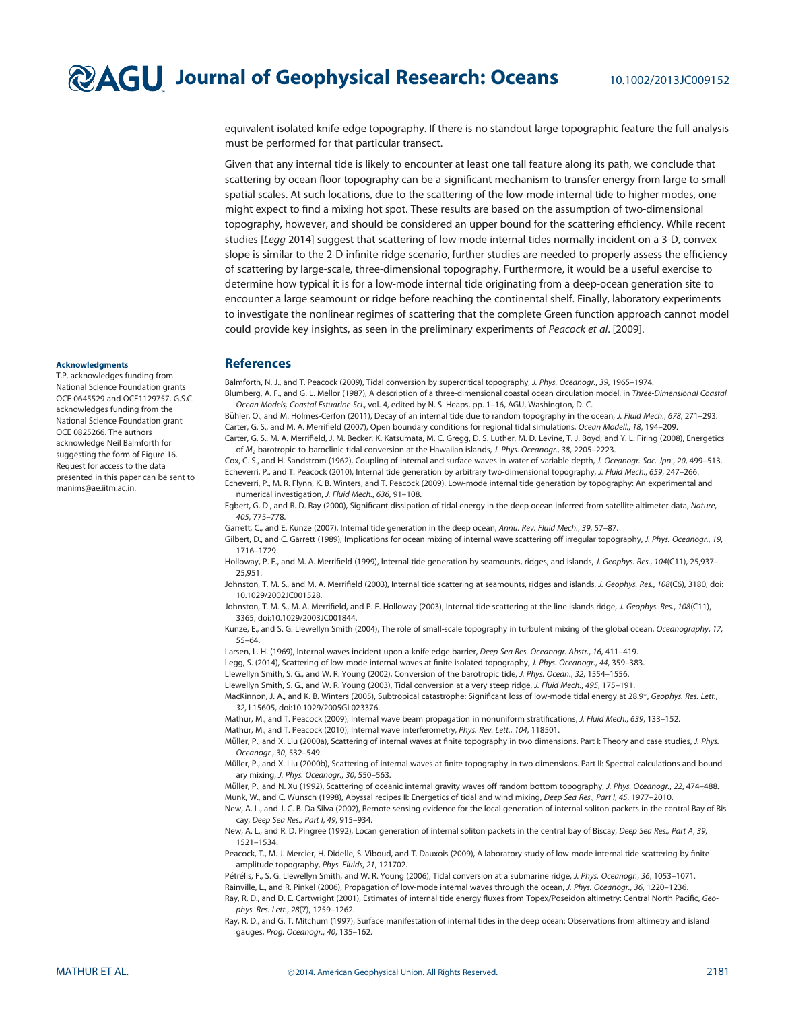equivalent isolated knife-edge topography. If there is no standout large topographic feature the full analysis must be performed for that particular transect.

Given that any internal tide is likely to encounter at least one tall feature along its path, we conclude that scattering by ocean floor topography can be a significant mechanism to transfer energy from large to small spatial scales. At such locations, due to the scattering of the low-mode internal tide to higher modes, one might expect to find a mixing hot spot. These results are based on the assumption of two-dimensional topography, however, and should be considered an upper bound for the scattering efficiency. While recent studies [Legg 2014] suggest that scattering of low-mode internal tides normally incident on a 3-D, convex slope is similar to the 2-D infinite ridge scenario, further studies are needed to properly assess the efficiency of scattering by large-scale, three-dimensional topography. Furthermore, it would be a useful exercise to determine how typical it is for a low-mode internal tide originating from a deep-ocean generation site to encounter a large seamount or ridge before reaching the continental shelf. Finally, laboratory experiments to investigate the nonlinear regimes of scattering that the complete Green function approach cannot model could provide key insights, as seen in the preliminary experiments of Peacock et al. [2009].

# **References**

Balmforth, N. J., and T. Peacock (2009), Tidal conversion by supercritical topography, J. Phys. Oceanogr., 39, 1965-1974.

Blumberg, A. F., and G. L. Mellor (1987), A description of a three-dimensional coastal ocean circulation model, in Three-Dimensional Coastal Ocean Models, Coastal Estuarine Sci., vol. 4, edited by N. S. Heaps, pp. 1–16, AGU, Washington, D. C.

Bühler, O., and M. Holmes-Cerfon (2011), Decay of an internal tide due to random topography in the ocean, J. Fluid Mech., 678, 271-293. Carter, G. S., and M. A. Merrifield (2007), Open boundary conditions for regional tidal simulations, Ocean Modell., 18, 194–209. Carter, G. S., M. A. Merrifield, J. M. Becker, K. Katsumata, M. C. Gregg, D. S. Luther, M. D. Levine, T. J. Boyd, and Y. L. Firing (2008), Energetics

of M<sub>2</sub> barotropic-to-baroclinic tidal conversion at the Hawaiian islands, J. Phys. Oceanogr., 38, 2205–2223. Cox, C. S., and H. Sandstrom (1962), Coupling of internal and surface waves in water of variable depth, J. Oceanogr. Soc. Jpn., 20, 499-513. Echeverri, P., and T. Peacock (2010), Internal tide generation by arbitrary two-dimensional topography, J. Fluid Mech., 659, 247–266.

Echeverri, P., M. R. Flynn, K. B. Winters, and T. Peacock (2009), Low-mode internal tide generation by topography: An experimental and numerical investigation, J. Fluid Mech., 636, 91–108.

Egbert, G. D., and R. D. Ray (2000), Significant dissipation of tidal energy in the deep ocean inferred from satellite altimeter data, Nature, 405, 775–778.

Garrett, C., and E. Kunze (2007), Internal tide generation in the deep ocean, Annu. Rev. Fluid Mech., 39, 57-87.

Gilbert, D., and C. Garrett (1989), Implications for ocean mixing of internal wave scattering off irregular topography, J. Phys. Oceanogr., 19, 1716–1729.

Holloway, P. E., and M. A. Merrifield (1999), Internal tide generation by seamounts, ridges, and islands, J. Geophys. Res., 104(C11), 25,937-25,951.

Johnston, T. M. S., and M. A. Merrifield (2003), Internal tide scattering at seamounts, ridges and islands, J. Geophys. Res., 108(C6), 3180, doi: 10.1029/2002JC001528.

Johnston, T. M. S., M. A. Merrifield, and P. E. Holloway (2003), Internal tide scattering at the line islands ridge, J. Geophys. Res., 108(C11), 3365, doi:10.1029/2003JC001844.

Kunze, E., and S. G. Llewellyn Smith (2004), The role of small-scale topography in turbulent mixing of the global ocean, Oceanography, 17, 55–64.

Larsen, L. H. (1969), Internal waves incident upon a knife edge barrier, Deep Sea Res. Oceanogr. Abstr., 16, 411-419.

Legg, S. (2014), Scattering of low-mode internal waves at finite isolated topography, J. Phys. Oceanogr., 44, 359–383.

Llewellyn Smith, S. G., and W. R. Young (2002), Conversion of the barotropic tide, J. Phys. Ocean., 32, 1554–1556.

Llewellyn Smith, S. G., and W. R. Young (2003), Tidal conversion at a very steep ridge, J. Fluid Mech., 495, 175–191.

MacKinnon, J. A., and K. B. Winters (2005), Subtropical catastrophe: Significant loss of low-mode tidal energy at 28.9°, Geophys. Res. Lett., 32, L15605, doi:10.1029/2005GL023376.

Mathur, M., and T. Peacock (2009), Internal wave beam propagation in nonuniform stratifications, J. Fluid Mech., 639, 133–152.

Mathur, M., and T. Peacock (2010), Internal wave interferometry, Phys. Rev. Lett., 104, 118501.

Müller, P., and X. Liu (2000a), Scattering of internal waves at finite topography in two dimensions. Part I: Theory and case studies, J. Phys. Oceanogr., 30, 532–549.

Müller, P., and X. Liu (2000b), Scattering of internal waves at finite topography in two dimensions. Part II: Spectral calculations and boundary mixing, J. Phys. Oceanogr., 30, 550–563.

Müller, P., and N. Xu (1992), Scattering of oceanic internal gravity waves off random bottom topography, J. Phys. Oceanogr., 22, 474-488. Munk, W., and C. Wunsch (1998), Abyssal recipes II: Energetics of tidal and wind mixing, Deep Sea Res., Part I, 45, 1977–2010.

New, A. L., and J. C. B. Da Silva (2002), Remote sensing evidence for the local generation of internal soliton packets in the central Bay of Biscay, Deep Sea Res., Part I, 49, 915–934.

New, A. L., and R. D. Pingree (1992), Locan generation of internal soliton packets in the central bay of Biscay, Deep Sea Res., Part A, 39, 1521–1534.

Peacock, T., M. J. Mercier, H. Didelle, S. Viboud, and T. Dauxois (2009), A laboratory study of low-mode internal tide scattering by finiteamplitude topography, Phys. Fluids, 21, 121702.

Pétrélis, F., S. G. Llewellyn Smith, and W. R. Young (2006), Tidal conversion at a submarine ridge, J. Phys. Oceanogr., 36, 1053-1071. Rainville, L., and R. Pinkel (2006), Propagation of low-mode internal waves through the ocean, J. Phys. Oceanogr., 36, 1220-1236. Ray, R. D., and D. E. Cartwright (2001), Estimates of internal tide energy fluxes from Topex/Poseidon altimetry: Central North Pacific, Geophys. Res. Lett., 28(7), 1259–1262.

Ray, R. D., and G. T. Mitchum (1997), Surface manifestation of internal tides in the deep ocean: Observations from altimetry and island gauges, Prog. Oceanogr., 40, 135–162.

#### **Acknowledaments**

T.P. acknowledges funding from National Science Foundation grants OCE 0645529 and OCE1129757. G.S.C. acknowledges funding from the National Science Foundation grant OCE 0825266. The authors acknowledge Neil Balmforth for suggesting the form of Figure 16. Request for access to the data presented in this paper can be sent to manims@ae.iitm.ac.in.